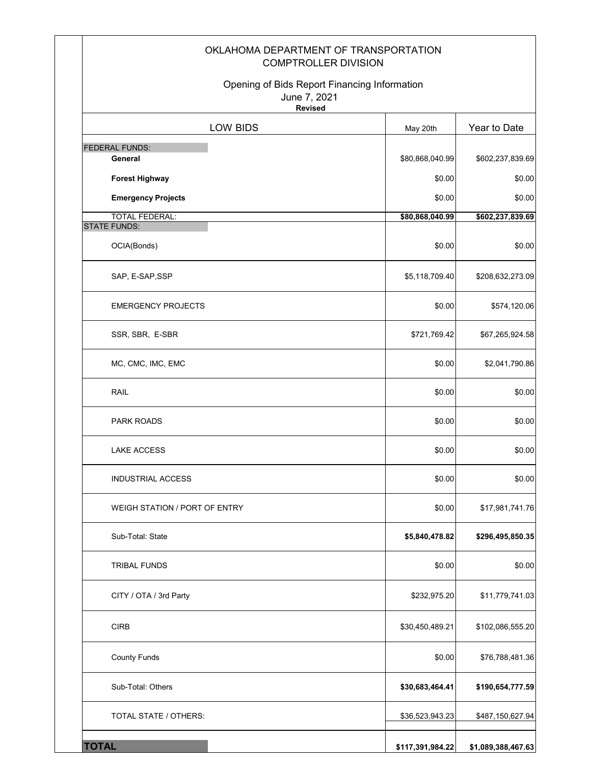| OKLAHOMA DEPARTMENT OF TRANSPORTATION<br><b>COMPTROLLER DIVISION</b><br>Opening of Bids Report Financing Information |                  |                    |
|----------------------------------------------------------------------------------------------------------------------|------------------|--------------------|
| June 7, 2021<br><b>Revised</b>                                                                                       |                  |                    |
| LOW BIDS                                                                                                             | May 20th         | Year to Date       |
| FEDERAL FUNDS:                                                                                                       |                  |                    |
| General                                                                                                              | \$80,868,040.99  | \$602,237,839.69   |
| <b>Forest Highway</b>                                                                                                | \$0.00           | \$0.00             |
| <b>Emergency Projects</b>                                                                                            | \$0.00           | \$0.00             |
| <b>TOTAL FEDERAL:</b><br><b>STATE FUNDS:</b>                                                                         | \$80,868,040.99  | \$602,237,839.69   |
| OCIA(Bonds)                                                                                                          | \$0.00           | \$0.00             |
| SAP, E-SAP, SSP                                                                                                      | \$5,118,709.40   | \$208,632,273.09   |
| <b>EMERGENCY PROJECTS</b>                                                                                            | \$0.00           | \$574,120.06       |
| SSR, SBR, E-SBR                                                                                                      | \$721,769.42     | \$67,265,924.58    |
| MC, CMC, IMC, EMC                                                                                                    | \$0.00           | \$2,041,790.86     |
| RAIL                                                                                                                 | \$0.00           | \$0.00             |
| <b>PARK ROADS</b>                                                                                                    | \$0.00           | \$0.00             |
| <b>LAKE ACCESS</b>                                                                                                   | \$0.00           | \$0.00             |
| INDUSTRIAL ACCESS                                                                                                    | \$0.00           | \$0.00             |
| WEIGH STATION / PORT OF ENTRY                                                                                        | \$0.00           | \$17,981,741.76    |
| Sub-Total: State                                                                                                     | \$5,840,478.82   | \$296,495,850.35   |
| <b>TRIBAL FUNDS</b>                                                                                                  | \$0.00           | \$0.00             |
| CITY / OTA / 3rd Party                                                                                               | \$232,975.20     | \$11,779,741.03    |
| <b>CIRB</b>                                                                                                          | \$30,450,489.21  | \$102,086,555.20   |
| <b>County Funds</b>                                                                                                  | \$0.00           | \$76,788,481.36    |
| Sub-Total: Others                                                                                                    | \$30,683,464.41  | \$190,654,777.59   |
| TOTAL STATE / OTHERS:                                                                                                | \$36,523,943.23  | \$487,150,627.94   |
| <b>TOTAL</b>                                                                                                         | \$117,391,984.22 | \$1,089,388,467.63 |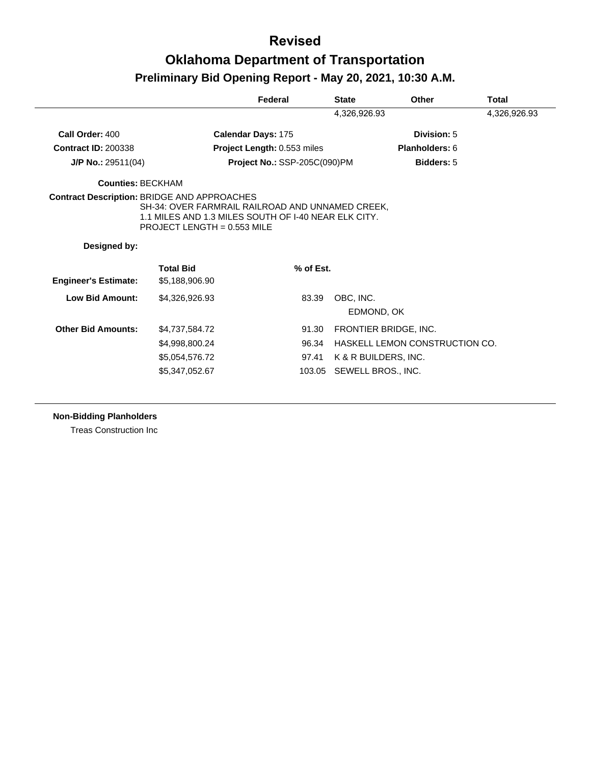|                             |                                                                                                                                                                                                 | Federal                      | <b>State</b> | Other                          | Total        |
|-----------------------------|-------------------------------------------------------------------------------------------------------------------------------------------------------------------------------------------------|------------------------------|--------------|--------------------------------|--------------|
|                             |                                                                                                                                                                                                 |                              | 4,326,926.93 |                                | 4,326,926.93 |
| Call Order: 400             |                                                                                                                                                                                                 | Calendar Days: 175           |              | Division: 5                    |              |
| <b>Contract ID: 200338</b>  |                                                                                                                                                                                                 | Project Length: 0.553 miles  |              | Planholders: 6                 |              |
| J/P No.: 29511(04)          |                                                                                                                                                                                                 | Project No.: SSP-205C(090)PM |              | <b>Bidders: 5</b>              |              |
| <b>Counties: BECKHAM</b>    |                                                                                                                                                                                                 |                              |              |                                |              |
|                             | <b>Contract Description: BRIDGE AND APPROACHES</b><br>SH-34: OVER FARMRAIL RAILROAD AND UNNAMED CREEK.<br>1.1 MILES AND 1.3 MILES SOUTH OF I-40 NEAR ELK CITY.<br>PROJECT LENGTH = $0.553$ MILE |                              |              |                                |              |
| Designed by:                |                                                                                                                                                                                                 |                              |              |                                |              |
| <b>Engineer's Estimate:</b> | <b>Total Bid</b><br>\$5,188,906.90                                                                                                                                                              | % of Est.                    |              |                                |              |
| <b>Low Bid Amount:</b>      | \$4,326,926.93                                                                                                                                                                                  | 83.39                        | OBC, INC.    | EDMOND, OK                     |              |
| <b>Other Bid Amounts:</b>   | \$4,737,584.72                                                                                                                                                                                  | 91.30                        |              | FRONTIER BRIDGE, INC.          |              |
|                             | \$4,998,800.24                                                                                                                                                                                  | 96.34                        |              | HASKELL LEMON CONSTRUCTION CO. |              |
|                             |                                                                                                                                                                                                 |                              |              |                                |              |
|                             | \$5,054,576.72                                                                                                                                                                                  | 97.41                        |              | K & R BUILDERS, INC.           |              |

#### **Non-Bidding Planholders**

Treas Construction Inc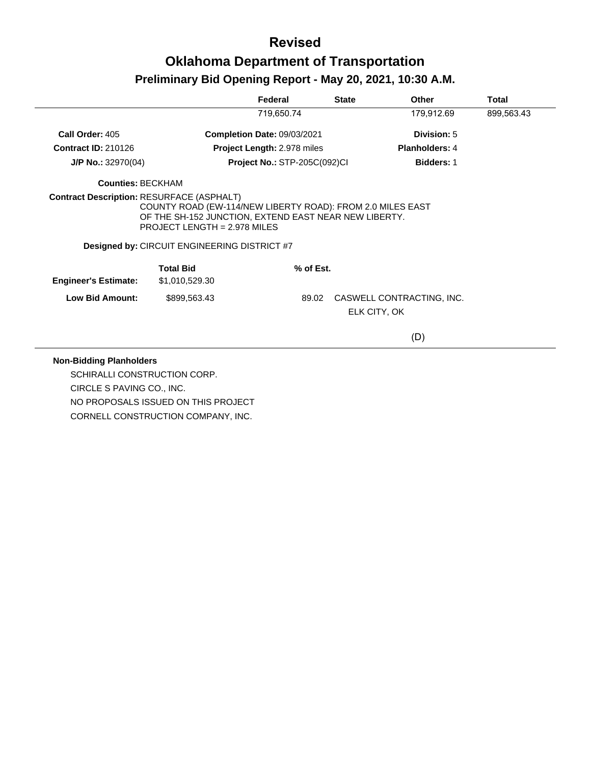|                                                  |                                                                                                                                                                                                            | Federal                             | <b>State</b> | <b>Other</b>              | Total      |
|--------------------------------------------------|------------------------------------------------------------------------------------------------------------------------------------------------------------------------------------------------------------|-------------------------------------|--------------|---------------------------|------------|
|                                                  |                                                                                                                                                                                                            | 719,650.74                          |              | 179,912.69                | 899,563.43 |
| Call Order: 405                                  |                                                                                                                                                                                                            | <b>Completion Date: 09/03/2021</b>  |              | Division: 5               |            |
| <b>Contract ID: 210126</b>                       |                                                                                                                                                                                                            | Project Length: 2.978 miles         |              | <b>Planholders: 4</b>     |            |
| $J/P$ No.: 32970(04)                             |                                                                                                                                                                                                            | <b>Project No.: STP-205C(092)CI</b> |              | <b>Bidders: 1</b>         |            |
| <b>Counties: BECKHAM</b>                         |                                                                                                                                                                                                            |                                     |              |                           |            |
| <b>Contract Description: RESURFACE (ASPHALT)</b> | COUNTY ROAD (EW-114/NEW LIBERTY ROAD): FROM 2.0 MILES EAST<br>OF THE SH-152 JUNCTION, EXTEND EAST NEAR NEW LIBERTY.<br>PROJECT LENGTH = 2.978 MILES<br><b>Designed by: CIRCUIT ENGINEERING DISTRICT #7</b> |                                     |              |                           |            |
| <b>Engineer's Estimate:</b>                      | <b>Total Bid</b><br>\$1,010,529.30                                                                                                                                                                         | % of Est.                           |              |                           |            |
| Low Bid Amount:                                  | \$899,563.43                                                                                                                                                                                               | 89.02                               | ELK CITY, OK | CASWELL CONTRACTING, INC. |            |
|                                                  |                                                                                                                                                                                                            |                                     |              | (D)                       |            |

#### **Non-Bidding Planholders**

 $\overline{\phantom{a}}$ 

SCHIRALLI CONSTRUCTION CORP. CIRCLE S PAVING CO., INC. NO PROPOSALS ISSUED ON THIS PROJECT CORNELL CONSTRUCTION COMPANY, INC.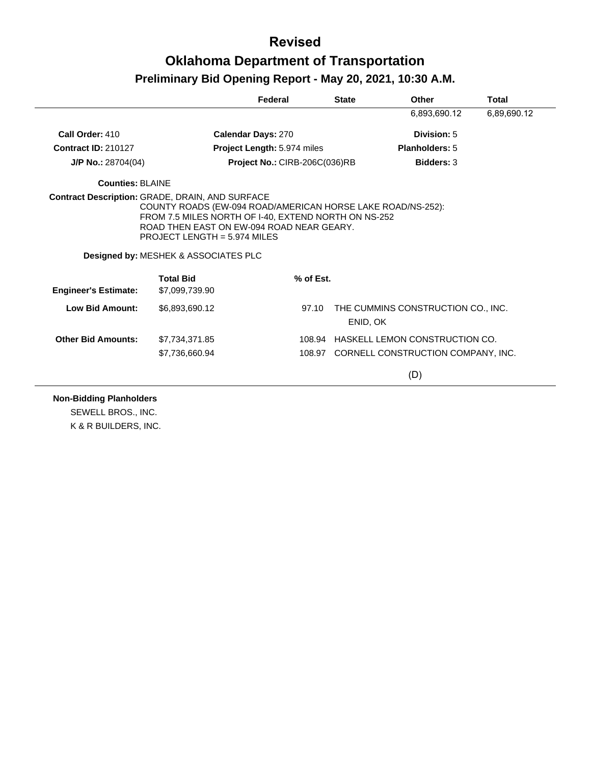|                             |                                                                                                                                                                                                                                                       | Federal                       | <b>State</b> | Other                                          | Total       |
|-----------------------------|-------------------------------------------------------------------------------------------------------------------------------------------------------------------------------------------------------------------------------------------------------|-------------------------------|--------------|------------------------------------------------|-------------|
|                             |                                                                                                                                                                                                                                                       |                               |              | 6,893,690.12                                   | 6,89,690.12 |
| Call Order: 410             |                                                                                                                                                                                                                                                       | <b>Calendar Days: 270</b>     |              | Division: 5                                    |             |
| <b>Contract ID: 210127</b>  |                                                                                                                                                                                                                                                       | Project Length: 5.974 miles   |              | <b>Planholders: 5</b>                          |             |
| $J/P$ No.: 28704(04)        |                                                                                                                                                                                                                                                       | Project No.: CIRB-206C(036)RB |              | <b>Bidders: 3</b>                              |             |
| Counties: BLAINE            |                                                                                                                                                                                                                                                       |                               |              |                                                |             |
|                             | COUNTY ROADS (EW-094 ROAD/AMERICAN HORSE LAKE ROAD/NS-252):<br>FROM 7.5 MILES NORTH OF 1-40, EXTEND NORTH ON NS-252<br>ROAD THEN EAST ON EW-094 ROAD NEAR GEARY.<br>PROJECT LENGTH = $5.974$ MILES<br><b>Designed by: MESHEK &amp; ASSOCIATES PLC</b> |                               |              |                                                |             |
| <b>Engineer's Estimate:</b> | <b>Total Bid</b><br>\$7,099,739.90                                                                                                                                                                                                                    |                               | % of Est.    |                                                |             |
| <b>Low Bid Amount:</b>      | \$6,893,690.12                                                                                                                                                                                                                                        |                               | 97.10        | THE CUMMINS CONSTRUCTION CO., INC.<br>ENID, OK |             |
| <b>Other Bid Amounts:</b>   | \$7.734.371.85                                                                                                                                                                                                                                        |                               | 108.94       | <b>HASKELL LEMON CONSTRUCTION CO.</b>          |             |
|                             | \$7,736,660.94                                                                                                                                                                                                                                        |                               |              | 108.97 CORNELL CONSTRUCTION COMPANY, INC.      |             |
|                             |                                                                                                                                                                                                                                                       |                               |              | (D)                                            |             |

**Non-Bidding Planholders**

SEWELL BROS., INC. K & R BUILDERS, INC.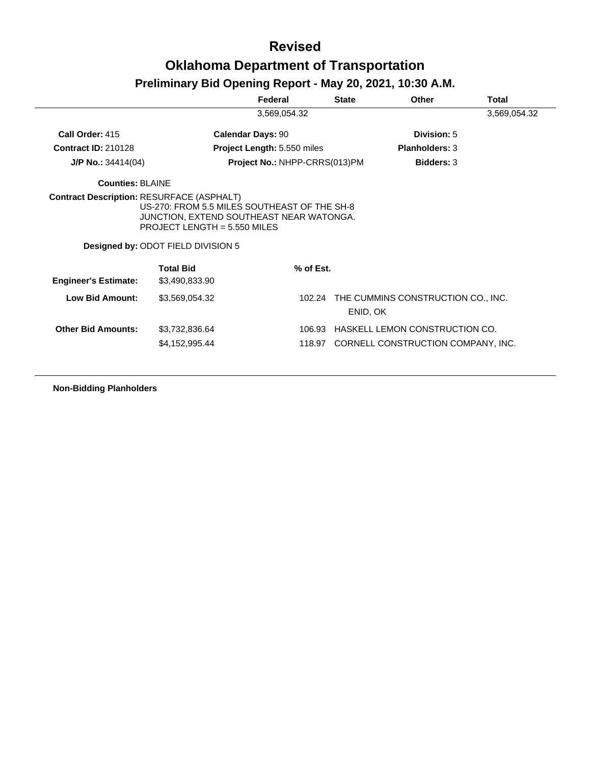# **Revised Oklahoma Department of Transportation**

#### **Preliminary Bid Opening Report - May 20, 2021, 10:30 A.M.**

|                             |                                                                                                                                                                  | Federal                       | <b>State</b> | <b>Other</b>                       | Total        |
|-----------------------------|------------------------------------------------------------------------------------------------------------------------------------------------------------------|-------------------------------|--------------|------------------------------------|--------------|
|                             |                                                                                                                                                                  | 3,569,054.32                  |              |                                    | 3,569,054.32 |
| Call Order: 415             |                                                                                                                                                                  | <b>Calendar Days: 90</b>      |              | Division: 5                        |              |
| <b>Contract ID: 210128</b>  |                                                                                                                                                                  | Project Length: 5.550 miles   |              | <b>Planholders: 3</b>              |              |
| $J/P$ No.: 34414(04)        |                                                                                                                                                                  | Project No.: NHPP-CRRS(013)PM |              | <b>Bidders: 3</b>                  |              |
| <b>Counties: BLAINE</b>     |                                                                                                                                                                  |                               |              |                                    |              |
|                             | US-270: FROM 5.5 MILES SOUTHEAST OF THE SH-8<br>JUNCTION, EXTEND SOUTHEAST NEAR WATONGA.<br>PROJECT LENGTH = $5.550$ MILES<br>Designed by: ODOT FIELD DIVISION 5 |                               |              |                                    |              |
| <b>Engineer's Estimate:</b> | <b>Total Bid</b><br>\$3,490,833.90                                                                                                                               | % of Est.                     |              |                                    |              |
| <b>Low Bid Amount:</b>      | \$3,569,054.32                                                                                                                                                   | 102.24                        | ENID, OK     | THE CUMMINS CONSTRUCTION CO., INC. |              |
| <b>Other Bid Amounts:</b>   | \$3,732,836.64                                                                                                                                                   | 106.93                        |              | HASKELL LEMON CONSTRUCTION CO.     |              |
|                             | \$4,152,995.44                                                                                                                                                   | 118.97                        |              | CORNELL CONSTRUCTION COMPANY, INC. |              |

**Non-Bidding Planholders**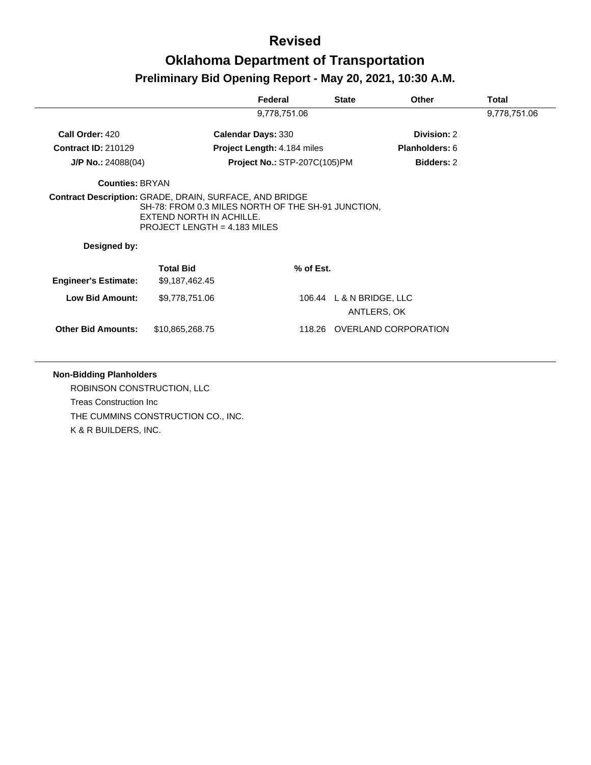|                             |                                                                                                                                                                           | Federal                             | <b>State</b>             | Other                       | Total        |
|-----------------------------|---------------------------------------------------------------------------------------------------------------------------------------------------------------------------|-------------------------------------|--------------------------|-----------------------------|--------------|
|                             |                                                                                                                                                                           | 9,778,751.06                        |                          |                             | 9,778,751.06 |
| Call Order: 420             |                                                                                                                                                                           | <b>Calendar Days: 330</b>           |                          | Division: 2                 |              |
| <b>Contract ID: 210129</b>  |                                                                                                                                                                           | <b>Project Length: 4.184 miles</b>  |                          | Planholders: 6              |              |
| $J/P$ No.: 24088(04)        |                                                                                                                                                                           | <b>Project No.: STP-207C(105)PM</b> |                          | <b>Bidders: 2</b>           |              |
| <b>Counties: BRYAN</b>      |                                                                                                                                                                           |                                     |                          |                             |              |
| Designed by:                | Contract Description: GRADE, DRAIN, SURFACE, AND BRIDGE<br>SH-78: FROM 0.3 MILES NORTH OF THE SH-91 JUNCTION,<br>EXTEND NORTH IN ACHILLE.<br>PROJECT LENGTH = 4.183 MILES |                                     |                          |                             |              |
| <b>Engineer's Estimate:</b> | <b>Total Bid</b><br>\$9,187,462.45                                                                                                                                        | % of Est.                           |                          |                             |              |
| <b>Low Bid Amount:</b>      | \$9,778,751.06                                                                                                                                                            |                                     | 106.44 L & N BRIDGE, LLC | ANTLERS, OK                 |              |
| <b>Other Bid Amounts:</b>   | \$10,865,268.75                                                                                                                                                           |                                     |                          | 118.26 OVERLAND CORPORATION |              |
|                             |                                                                                                                                                                           |                                     |                          |                             |              |

#### **Non-Bidding Planholders**

ROBINSON CONSTRUCTION, LLC Treas Construction Inc THE CUMMINS CONSTRUCTION CO., INC. K & R BUILDERS, INC.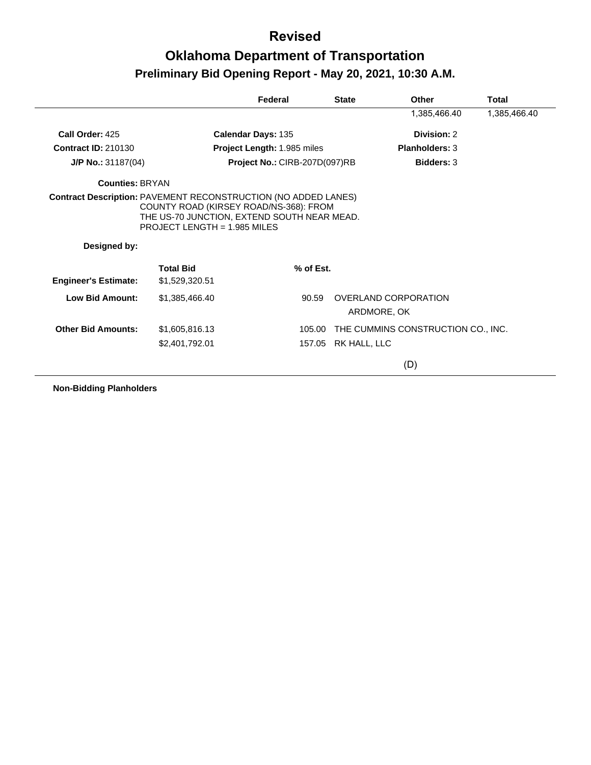|                             |                                                                                                                         | Federal                       | <b>State</b> | Other                               | Total        |
|-----------------------------|-------------------------------------------------------------------------------------------------------------------------|-------------------------------|--------------|-------------------------------------|--------------|
|                             |                                                                                                                         |                               |              | 1,385,466.40                        | 1,385,466.40 |
| Call Order: 425             |                                                                                                                         | Calendar Days: 135            |              | Division: 2                         |              |
| <b>Contract ID: 210130</b>  |                                                                                                                         | Project Length: 1.985 miles   |              | <b>Planholders: 3</b>               |              |
| J/P No.: 31187(04)          |                                                                                                                         | Project No.: CIRB-207D(097)RB |              | <b>Bidders: 3</b>                   |              |
| <b>Counties: BRYAN</b>      |                                                                                                                         |                               |              |                                     |              |
| Designed by:                | COUNTY ROAD (KIRSEY ROAD/NS-368): FROM<br>THE US-70 JUNCTION, EXTEND SOUTH NEAR MEAD.<br>PROJECT LENGTH = $1.985$ MILES |                               |              |                                     |              |
| <b>Engineer's Estimate:</b> | <b>Total Bid</b><br>\$1,529,320.51                                                                                      | % of Est.                     |              |                                     |              |
| <b>Low Bid Amount:</b>      | \$1,385,466.40                                                                                                          | 90.59                         |              | OVERLAND CORPORATION<br>ARDMORE, OK |              |
| <b>Other Bid Amounts:</b>   | \$1,605,816.13                                                                                                          | 105.00                        |              | THE CUMMINS CONSTRUCTION CO., INC.  |              |
|                             | \$2,401,792.01                                                                                                          | 157.05                        | RK HALL, LLC |                                     |              |
|                             |                                                                                                                         |                               |              | (D)                                 |              |

**Non-Bidding Planholders**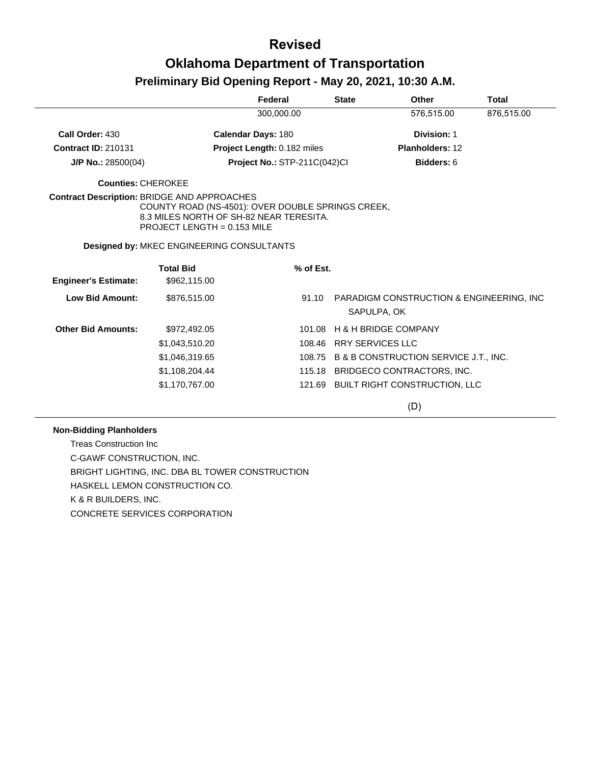|                             |                                                                                                                                                                                     | Federal                      | <b>State</b> | Other                                                    | <b>Total</b> |
|-----------------------------|-------------------------------------------------------------------------------------------------------------------------------------------------------------------------------------|------------------------------|--------------|----------------------------------------------------------|--------------|
|                             |                                                                                                                                                                                     | 300,000.00                   |              | 576,515.00                                               | 876,515.00   |
| Call Order: 430             | Calendar Days: 180                                                                                                                                                                  |                              |              | Division: 1                                              |              |
| <b>Contract ID: 210131</b>  |                                                                                                                                                                                     | Project Length: 0.182 miles  |              | <b>Planholders: 12</b>                                   |              |
| J/P No.: 28500(04)          |                                                                                                                                                                                     | Project No.: STP-211C(042)Cl |              | Bidders: 6                                               |              |
| <b>Counties: CHEROKEE</b>   |                                                                                                                                                                                     |                              |              |                                                          |              |
|                             | <b>Contract Description: BRIDGE AND APPROACHES</b><br>COUNTY ROAD (NS-4501): OVER DOUBLE SPRINGS CREEK,<br>8.3 MILES NORTH OF SH-82 NEAR TERESITA.<br>PROJECT LENGTH = $0.153$ MILE |                              |              |                                                          |              |
|                             | Designed by: MKEC ENGINEERING CONSULTANTS                                                                                                                                           |                              |              |                                                          |              |
| <b>Engineer's Estimate:</b> | <b>Total Bid</b><br>\$962,115.00                                                                                                                                                    | % of Est.                    |              |                                                          |              |
| <b>Low Bid Amount:</b>      | \$876,515.00                                                                                                                                                                        | 91.10                        |              | PARADIGM CONSTRUCTION & ENGINEERING, INC.<br>SAPULPA, OK |              |
| <b>Other Bid Amounts:</b>   | \$972,492.05                                                                                                                                                                        | 101.08                       |              | <b>H &amp; H BRIDGE COMPANY</b>                          |              |
|                             | \$1,043,510.20                                                                                                                                                                      | 108.46                       |              | <b>RRY SERVICES LLC</b>                                  |              |
|                             | \$1,046,319.65                                                                                                                                                                      |                              |              | 108.75 B & B CONSTRUCTION SERVICE J.T., INC.             |              |
|                             | \$1,108,204.44                                                                                                                                                                      |                              |              | 115.18 BRIDGECO CONTRACTORS, INC.                        |              |
|                             | \$1,170,767.00                                                                                                                                                                      | 121.69                       |              | BUILT RIGHT CONSTRUCTION, LLC                            |              |

(D)

#### **Non-Bidding Planholders**

Treas Construction Inc C-GAWF CONSTRUCTION, INC. BRIGHT LIGHTING, INC. DBA BL TOWER CONSTRUCTION HASKELL LEMON CONSTRUCTION CO. K & R BUILDERS, INC. CONCRETE SERVICES CORPORATION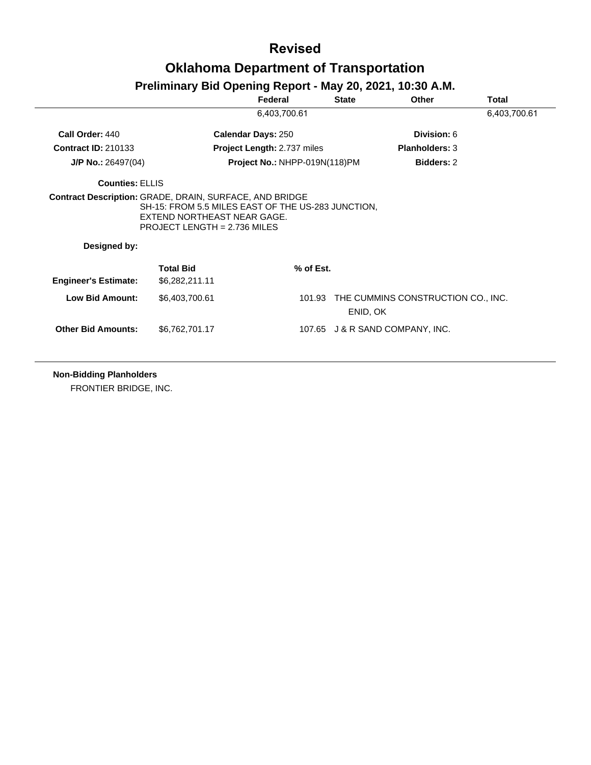### **Revised Oklahoma Department of Transportation**

#### **Preliminary Bid Opening Report - May 20, 2021, 10:30 A.M.**

|                             |                                                                                                                     | Federal                       | <b>State</b> | <b>Other</b>                       | Total        |
|-----------------------------|---------------------------------------------------------------------------------------------------------------------|-------------------------------|--------------|------------------------------------|--------------|
|                             |                                                                                                                     | 6,403,700.61                  |              |                                    | 6,403,700.61 |
| Call Order: 440             |                                                                                                                     | <b>Calendar Days: 250</b>     |              | Division: 6                        |              |
| <b>Contract ID: 210133</b>  |                                                                                                                     | Project Length: 2.737 miles   |              | <b>Planholders: 3</b>              |              |
| $J/P$ No.: 26497(04)        |                                                                                                                     | Project No.: NHPP-019N(118)PM |              | <b>Bidders: 2</b>                  |              |
| <b>Counties: ELLIS</b>      |                                                                                                                     |                               |              |                                    |              |
| Designed by:                | SH-15: FROM 5.5 MILES EAST OF THE US-283 JUNCTION,<br>EXTEND NORTHEAST NEAR GAGE.<br>PROJECT LENGTH = $2.736$ MILES |                               |              |                                    |              |
| <b>Engineer's Estimate:</b> | <b>Total Bid</b><br>\$6,282,211.11                                                                                  | % of Est.                     |              |                                    |              |
|                             |                                                                                                                     |                               |              |                                    |              |
| <b>Low Bid Amount:</b>      | \$6,403,700.61                                                                                                      | 101.93                        | ENID, OK     | THE CUMMINS CONSTRUCTION CO., INC. |              |

**Non-Bidding Planholders**

FRONTIER BRIDGE, INC.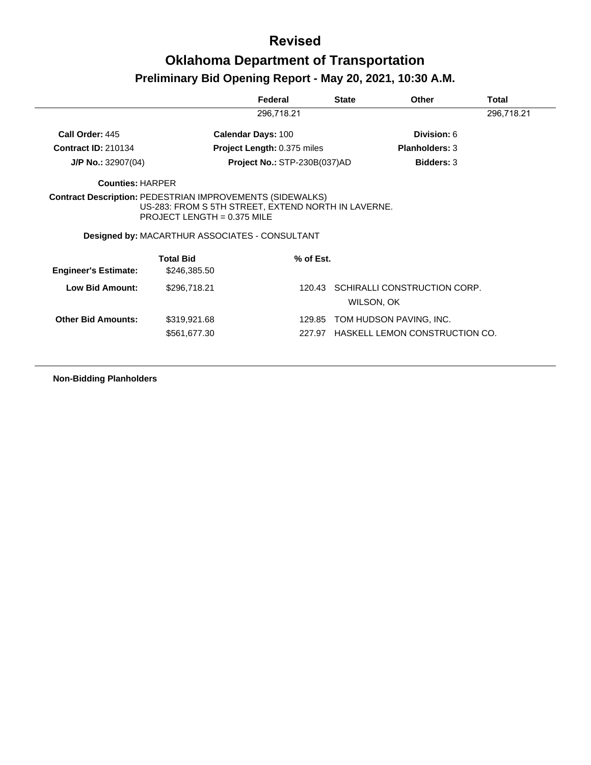|                                                                                                 |                                                                                                                                               | Federal                             | <b>State</b> | Other                        | Total      |
|-------------------------------------------------------------------------------------------------|-----------------------------------------------------------------------------------------------------------------------------------------------|-------------------------------------|--------------|------------------------------|------------|
|                                                                                                 |                                                                                                                                               | 296,718.21                          |              |                              | 296,718.21 |
| Call Order: 445                                                                                 |                                                                                                                                               | <b>Calendar Days: 100</b>           |              | Division: 6                  |            |
| <b>Contract ID: 210134</b>                                                                      |                                                                                                                                               | <b>Project Length: 0.375 miles</b>  |              | <b>Planholders: 3</b>        |            |
| $J/P$ No.: 32907(04)                                                                            |                                                                                                                                               | <b>Project No.: STP-230B(037)AD</b> |              | <b>Bidders: 3</b>            |            |
| <b>Counties: HARPER</b>                                                                         |                                                                                                                                               |                                     |              |                              |            |
|                                                                                                 |                                                                                                                                               |                                     |              |                              |            |
|                                                                                                 | US-283: FROM S 5TH STREET, EXTEND NORTH IN LAVERNE.<br>PROJECT LENGTH = $0.375$ MILE<br><b>Designed by: MACARTHUR ASSOCIATES - CONSULTANT</b> |                                     |              |                              |            |
|                                                                                                 | <b>Total Bid</b>                                                                                                                              | $%$ of Est.                         |              |                              |            |
| <b>Contract Description: PEDESTRIAN IMPROVEMENTS (SIDEWALKS)</b><br><b>Engineer's Estimate:</b> | \$246,385.50                                                                                                                                  |                                     |              |                              |            |
| <b>Low Bid Amount:</b>                                                                          | \$296,718.21                                                                                                                                  | 120.43                              | WILSON, OK   | SCHIRALLI CONSTRUCTION CORP. |            |
| <b>Other Bid Amounts:</b>                                                                       | \$319,921.68                                                                                                                                  | 129.85                              |              | TOM HUDSON PAVING, INC.      |            |

**Non-Bidding Planholders**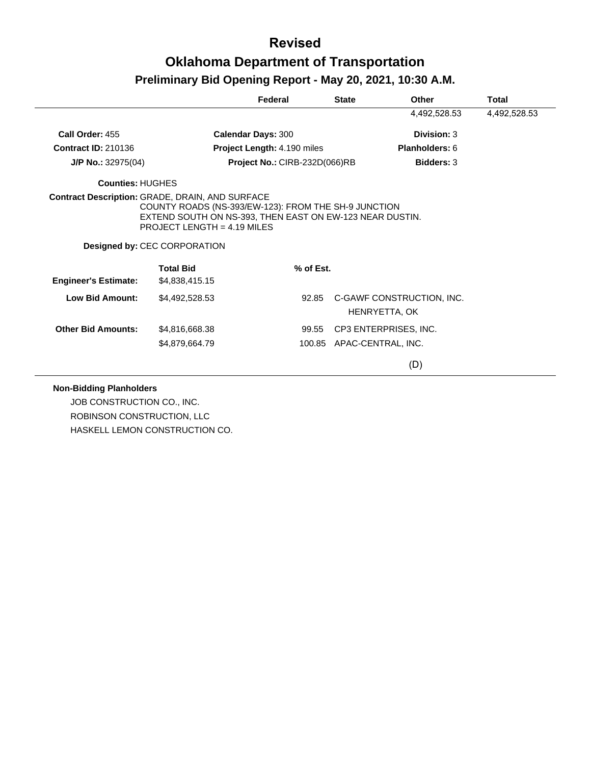|                             |                                                                                                                                               | Federal                       | <b>State</b> | Other                                      | Total        |
|-----------------------------|-----------------------------------------------------------------------------------------------------------------------------------------------|-------------------------------|--------------|--------------------------------------------|--------------|
|                             |                                                                                                                                               |                               |              | 4,492,528.53                               | 4,492,528.53 |
| Call Order: 455             |                                                                                                                                               | <b>Calendar Days: 300</b>     |              | Division: 3                                |              |
| <b>Contract ID: 210136</b>  |                                                                                                                                               | Project Length: 4.190 miles   |              | <b>Planholders: 6</b>                      |              |
| $J/P$ No.: 32975(04)        |                                                                                                                                               | Project No.: CIRB-232D(066)RB |              | <b>Bidders: 3</b>                          |              |
| Counties: HUGHES            |                                                                                                                                               |                               |              |                                            |              |
|                             | EXTEND SOUTH ON NS-393, THEN EAST ON EW-123 NEAR DUSTIN.<br>PROJECT LENGTH = $4.19$ MILES<br>Designed by: CEC CORPORATION<br><b>Total Bid</b> | $%$ of Est.                   |              |                                            |              |
| <b>Engineer's Estimate:</b> | \$4,838,415.15                                                                                                                                |                               |              |                                            |              |
| <b>Low Bid Amount:</b>      | \$4,492,528.53                                                                                                                                | 92.85                         |              | C-GAWF CONSTRUCTION, INC.<br>HENRYETTA, OK |              |
| <b>Other Bid Amounts:</b>   | \$4,816,668.38                                                                                                                                | 99.55                         |              | CP3 ENTERPRISES, INC.                      |              |
|                             | \$4,879,664.79                                                                                                                                |                               |              | 100.85 APAC-CENTRAL, INC.                  |              |
|                             |                                                                                                                                               |                               |              | (D)                                        |              |

#### **Non-Bidding Planholders**

JOB CONSTRUCTION CO., INC. ROBINSON CONSTRUCTION, LLC HASKELL LEMON CONSTRUCTION CO.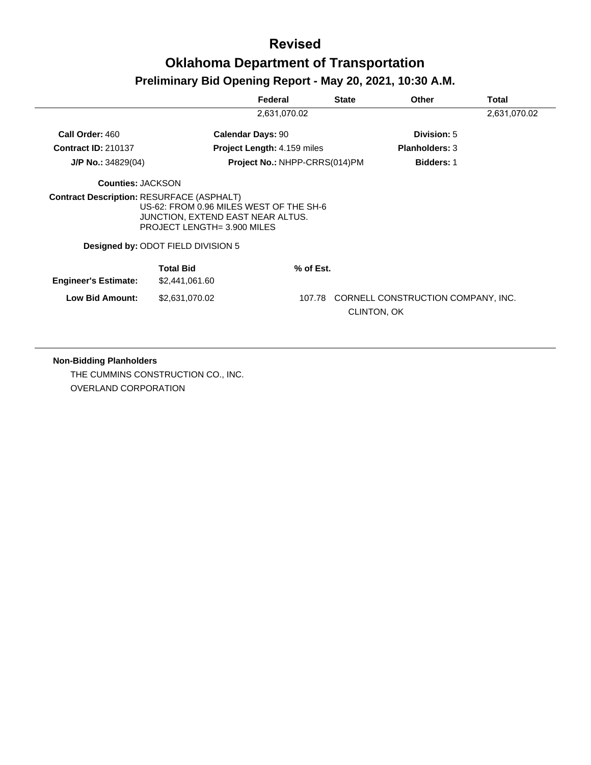|                                                  |                                                                                                                    | Federal                            | <b>State</b>                 | <b>Other</b>                       | Total        |
|--------------------------------------------------|--------------------------------------------------------------------------------------------------------------------|------------------------------------|------------------------------|------------------------------------|--------------|
|                                                  |                                                                                                                    | 2,631,070.02                       |                              |                                    | 2,631,070.02 |
| Call Order: 460                                  |                                                                                                                    | <b>Calendar Days: 90</b>           |                              | Division: 5                        |              |
| <b>Contract ID: 210137</b>                       |                                                                                                                    | <b>Project Length: 4.159 miles</b> |                              | <b>Planholders: 3</b>              |              |
| $J/P$ No.: 34829(04)                             |                                                                                                                    | Project No.: NHPP-CRRS(014)PM      |                              | <b>Bidders: 1</b>                  |              |
| <b>Counties: JACKSON</b>                         |                                                                                                                    |                                    |                              |                                    |              |
| <b>Contract Description: RESURFACE (ASPHALT)</b> | US-62: FROM 0.96 MILES WEST OF THE SH-6<br>JUNCTION, EXTEND EAST NEAR ALTUS.<br><b>PROJECT LENGTH= 3.900 MILES</b> |                                    |                              |                                    |              |
|                                                  | <b>Designed by: ODOT FIELD DIVISION 5</b>                                                                          |                                    |                              |                                    |              |
| <b>Engineer's Estimate:</b>                      | <b>Total Bid</b><br>\$2,441,061.60                                                                                 |                                    | $%$ of Est.                  |                                    |              |
| <b>Low Bid Amount:</b>                           | \$2,631,070.02                                                                                                     |                                    | 107.78<br><b>CLINTON, OK</b> | CORNELL CONSTRUCTION COMPANY, INC. |              |

#### **Non-Bidding Planholders**

THE CUMMINS CONSTRUCTION CO., INC. OVERLAND CORPORATION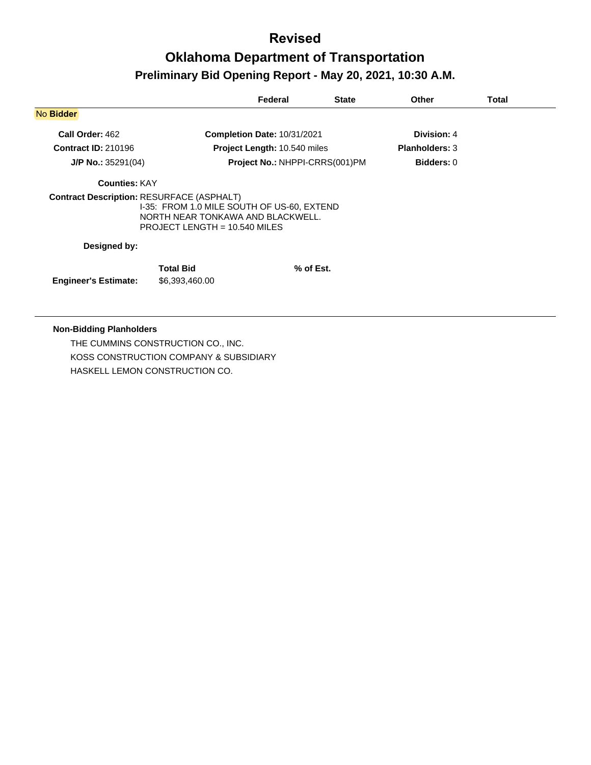| <b>Completion Date: 10/31/2021</b><br>Project Length: 10.540 miles<br>Project No.: NHPPI-CRRS(001)PM<br><b>Contract Description: RESURFACE (ASPHALT)</b> |                                    | Division: 4<br><b>Planholders: 3</b><br><b>Bidders: 0</b> |  |
|----------------------------------------------------------------------------------------------------------------------------------------------------------|------------------------------------|-----------------------------------------------------------|--|
|                                                                                                                                                          |                                    |                                                           |  |
|                                                                                                                                                          |                                    |                                                           |  |
|                                                                                                                                                          |                                    |                                                           |  |
|                                                                                                                                                          |                                    |                                                           |  |
|                                                                                                                                                          |                                    |                                                           |  |
| I-35: FROM 1.0 MILE SOUTH OF US-60, EXTEND<br>NORTH NEAR TONKAWA AND BLACKWELL.<br>PROJECT LENGTH = $10.540$ MILES                                       |                                    |                                                           |  |
|                                                                                                                                                          |                                    |                                                           |  |
|                                                                                                                                                          |                                    |                                                           |  |
|                                                                                                                                                          |                                    |                                                           |  |
|                                                                                                                                                          | <b>Total Bid</b><br>\$6,393,460.00 | % of Est.                                                 |  |

THE CUMMINS CONSTRUCTION CO., INC. KOSS CONSTRUCTION COMPANY & SUBSIDIARY HASKELL LEMON CONSTRUCTION CO.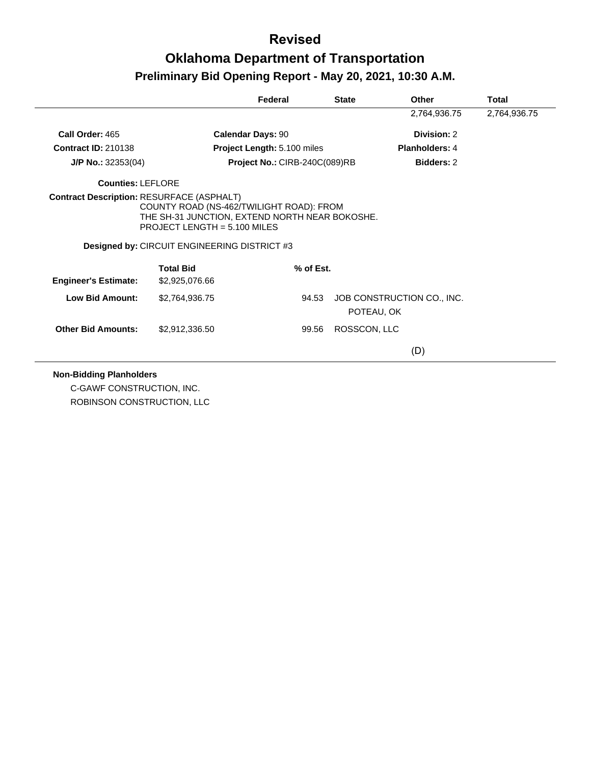|                             |                                                                                                                                  | Federal                       | <b>State</b> | Other                      | <b>Total</b> |
|-----------------------------|----------------------------------------------------------------------------------------------------------------------------------|-------------------------------|--------------|----------------------------|--------------|
|                             |                                                                                                                                  |                               |              | 2,764,936.75               | 2,764,936.75 |
| Call Order: 465             |                                                                                                                                  | <b>Calendar Days: 90</b>      |              | Division: 2                |              |
| <b>Contract ID: 210138</b>  |                                                                                                                                  | Project Length: 5.100 miles   |              | Planholders: 4             |              |
| $J/P$ No.: 32353(04)        |                                                                                                                                  | Project No.: CIRB-240C(089)RB |              | <b>Bidders: 2</b>          |              |
| Counties: LEFLORE           |                                                                                                                                  |                               |              |                            |              |
|                             | <b>Contract Description: RESURFACE (ASPHALT)</b><br>COUNTY ROAD (NS-462/TWILIGHT ROAD): FROM                                     |                               |              |                            |              |
|                             | THE SH-31 JUNCTION, EXTEND NORTH NEAR BOKOSHE.<br>PROJECT LENGTH = $5.100$ MILES<br>Designed by: CIRCUIT ENGINEERING DISTRICT #3 |                               |              |                            |              |
| <b>Engineer's Estimate:</b> | <b>Total Bid</b><br>\$2,925,076.66                                                                                               | % of Est.                     |              |                            |              |
| Low Bid Amount:             | \$2,764,936.75                                                                                                                   | 94.53                         | POTEAU, OK   | JOB CONSTRUCTION CO., INC. |              |
| <b>Other Bid Amounts:</b>   | \$2,912,336.50                                                                                                                   | 99.56                         | ROSSCON, LLC |                            |              |

C-GAWF CONSTRUCTION, INC. ROBINSON CONSTRUCTION, LLC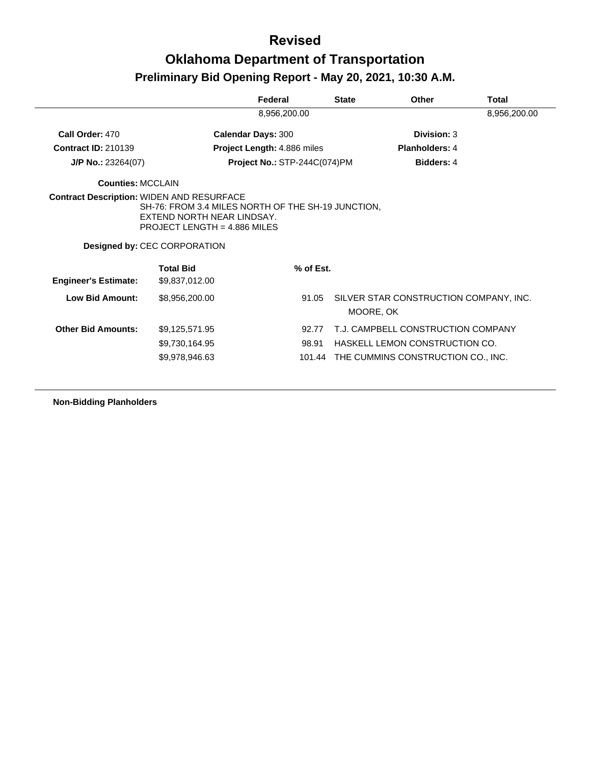#### **Revised**

### **Oklahoma Department of Transportation Preliminary Bid Opening Report - May 20, 2021, 10:30 A.M.**

|                             |                                                                                                                                                           | Federal                            | <b>State</b> | <b>Other</b>                                        | Total        |
|-----------------------------|-----------------------------------------------------------------------------------------------------------------------------------------------------------|------------------------------------|--------------|-----------------------------------------------------|--------------|
|                             |                                                                                                                                                           | 8,956,200.00                       |              |                                                     | 8,956,200.00 |
| Call Order: 470             | <b>Calendar Days: 300</b>                                                                                                                                 |                                    |              | Division: 3                                         |              |
| <b>Contract ID: 210139</b>  |                                                                                                                                                           | <b>Project Length: 4.886 miles</b> |              | <b>Planholders: 4</b>                               |              |
| $J/P$ No.: 23264(07)        |                                                                                                                                                           | Project No.: STP-244C(074)PM       |              | <b>Bidders: 4</b>                                   |              |
| <b>Counties: MCCLAIN</b>    |                                                                                                                                                           |                                    |              |                                                     |              |
|                             | SH-76: FROM 3.4 MILES NORTH OF THE SH-19 JUNCTION,<br>EXTEND NORTH NEAR LINDSAY.<br>PROJECT LENGTH = $4.886$ MILES<br><b>Designed by: CEC CORPORATION</b> |                                    |              |                                                     |              |
| <b>Engineer's Estimate:</b> | <b>Total Bid</b><br>\$9,837,012.00                                                                                                                        |                                    | % of Est.    |                                                     |              |
| Low Bid Amount:             | \$8,956,200.00                                                                                                                                            |                                    | 91.05        | SILVER STAR CONSTRUCTION COMPANY, INC.<br>MOORE, OK |              |
| <b>Other Bid Amounts:</b>   | \$9,125,571.95                                                                                                                                            |                                    | 92.77        | T.J. CAMPBELL CONSTRUCTION COMPANY                  |              |
|                             | \$9,730,164.95                                                                                                                                            | 98.91                              |              | HASKELL LEMON CONSTRUCTION CO.                      |              |
|                             | \$9,978,946.63                                                                                                                                            |                                    | 101.44       | THE CUMMINS CONSTRUCTION CO., INC.                  |              |

**Non-Bidding Planholders**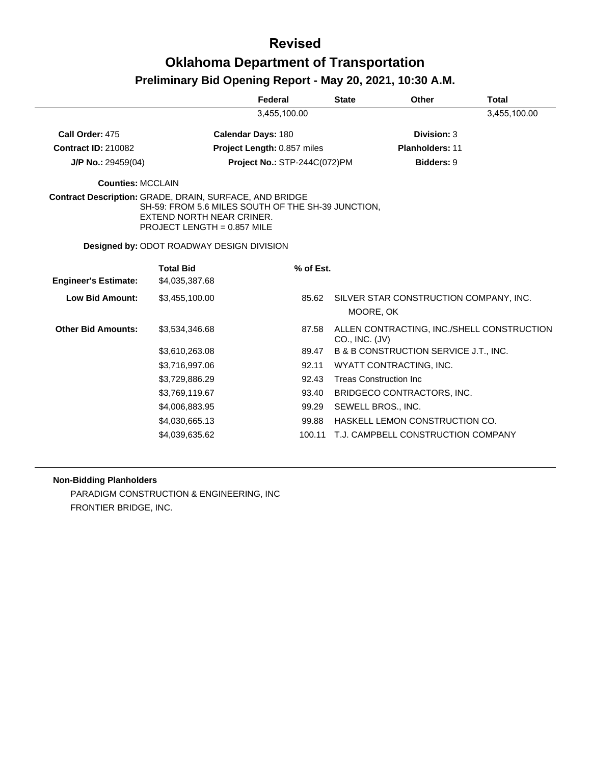|                                                         |                                                                                                                  | Federal                            |           | <b>State</b>   | <b>Other</b>                           | <b>Total</b>                               |
|---------------------------------------------------------|------------------------------------------------------------------------------------------------------------------|------------------------------------|-----------|----------------|----------------------------------------|--------------------------------------------|
|                                                         |                                                                                                                  | 3,455,100.00                       |           |                |                                        | 3,455,100.00                               |
| Call Order: 475                                         |                                                                                                                  | <b>Calendar Days: 180</b>          |           |                | Division: 3                            |                                            |
| <b>Contract ID: 210082</b>                              |                                                                                                                  | <b>Project Length: 0.857 miles</b> |           |                | <b>Planholders: 11</b>                 |                                            |
| J/P No.: 29459(04)                                      |                                                                                                                  | Project No.: STP-244C(072)PM       |           |                | <b>Bidders: 9</b>                      |                                            |
| <b>Counties: MCCLAIN</b>                                |                                                                                                                  |                                    |           |                |                                        |                                            |
| Contract Description: GRADE, DRAIN, SURFACE, AND BRIDGE | SH-59: FROM 5.6 MILES SOUTH OF THE SH-39 JUNCTION,<br>EXTEND NORTH NEAR CRINER.<br>PROJECT LENGTH = $0.857$ MILE |                                    |           |                |                                        |                                            |
|                                                         | <b>Designed by: ODOT ROADWAY DESIGN DIVISION</b>                                                                 |                                    |           |                |                                        |                                            |
| <b>Engineer's Estimate:</b>                             | <b>Total Bid</b><br>\$4,035,387.68                                                                               |                                    | % of Est. |                |                                        |                                            |
| <b>Low Bid Amount:</b>                                  | \$3,455,100.00                                                                                                   |                                    | 85.62     | MOORE, OK      | SILVER STAR CONSTRUCTION COMPANY, INC. |                                            |
| <b>Other Bid Amounts:</b>                               | \$3,534,346.68                                                                                                   |                                    | 87.58     | CO., INC. (JV) |                                        | ALLEN CONTRACTING, INC./SHELL CONSTRUCTION |
|                                                         | \$3,610,263.08                                                                                                   |                                    | 89.47     |                | B & B CONSTRUCTION SERVICE J.T., INC.  |                                            |
|                                                         | \$3,716,997.06                                                                                                   |                                    | 92.11     |                | WYATT CONTRACTING, INC.                |                                            |
|                                                         | \$3,729,886.29                                                                                                   |                                    | 92.43     |                | <b>Treas Construction Inc.</b>         |                                            |
|                                                         | \$3,769,119.67                                                                                                   |                                    | 93.40     |                | BRIDGECO CONTRACTORS, INC.             |                                            |
|                                                         | \$4,006,883.95                                                                                                   |                                    | 99.29     |                | SEWELL BROS., INC.                     |                                            |
|                                                         | \$4,030,665.13                                                                                                   |                                    | 99.88     |                | HASKELL LEMON CONSTRUCTION CO.         |                                            |
|                                                         | \$4,039,635.62                                                                                                   |                                    | 100.11    |                | T.J. CAMPBELL CONSTRUCTION COMPANY     |                                            |

#### **Non-Bidding Planholders**

PARADIGM CONSTRUCTION & ENGINEERING, INC FRONTIER BRIDGE, INC.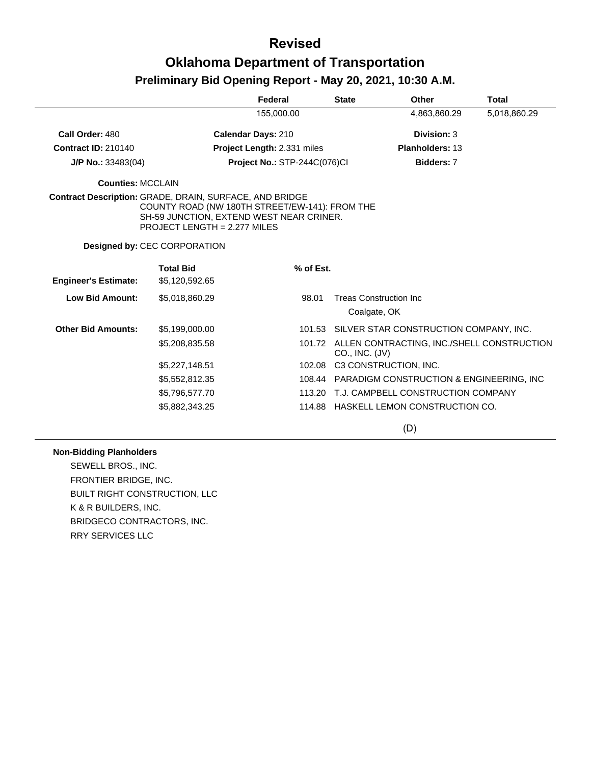|                             |                                                                                                                                                                                       | Federal                      | <b>State</b>                                   | Other                                             | <b>Total</b> |
|-----------------------------|---------------------------------------------------------------------------------------------------------------------------------------------------------------------------------------|------------------------------|------------------------------------------------|---------------------------------------------------|--------------|
|                             |                                                                                                                                                                                       | 155,000.00                   |                                                | 4,863,860.29                                      | 5,018,860.29 |
| Call Order: 480             |                                                                                                                                                                                       | <b>Calendar Days: 210</b>    |                                                | Division: 3                                       |              |
| <b>Contract ID: 210140</b>  |                                                                                                                                                                                       | Project Length: 2.331 miles  |                                                | <b>Planholders: 13</b>                            |              |
| $J/P$ No.: 33483(04)        |                                                                                                                                                                                       | Project No.: STP-244C(076)Cl |                                                | <b>Bidders: 7</b>                                 |              |
| <b>Counties: MCCLAIN</b>    |                                                                                                                                                                                       |                              |                                                |                                                   |              |
|                             | Contract Description: GRADE, DRAIN, SURFACE, AND BRIDGE<br>COUNTY ROAD (NW 180TH STREET/EW-141): FROM THE<br>SH-59 JUNCTION, EXTEND WEST NEAR CRINER.<br>PROJECT LENGTH = 2.277 MILES |                              |                                                |                                                   |              |
|                             | <b>Designed by: CEC CORPORATION</b>                                                                                                                                                   |                              |                                                |                                                   |              |
|                             | <b>Total Bid</b>                                                                                                                                                                      | % of Est.                    |                                                |                                                   |              |
| <b>Engineer's Estimate:</b> | \$5,120,592.65                                                                                                                                                                        |                              |                                                |                                                   |              |
| <b>Low Bid Amount:</b>      | \$5,018,860.29                                                                                                                                                                        | 98.01                        | <b>Treas Construction Inc.</b><br>Coalgate, OK |                                                   |              |
| <b>Other Bid Amounts:</b>   | \$5,199,000.00                                                                                                                                                                        |                              |                                                | 101.53 SILVER STAR CONSTRUCTION COMPANY, INC.     |              |
|                             | \$5,208,835.58                                                                                                                                                                        |                              | CO., INC. (JV)                                 | 101.72 ALLEN CONTRACTING, INC./SHELL CONSTRUCTION |              |
|                             | \$5,227,148.51                                                                                                                                                                        | 102.08                       |                                                | C3 CONSTRUCTION, INC.                             |              |
|                             | \$5,552,812.35                                                                                                                                                                        |                              |                                                | 108.44 PARADIGM CONSTRUCTION & ENGINEERING, INC   |              |
|                             | \$5,796,577.70                                                                                                                                                                        | 113.20                       |                                                | T.J. CAMPBELL CONSTRUCTION COMPANY                |              |
|                             | \$5,882,343.25                                                                                                                                                                        |                              |                                                | 114.88 HASKELL LEMON CONSTRUCTION CO.             |              |

(D)

#### **Non-Bidding Planholders**

SEWELL BROS., INC. FRONTIER BRIDGE, INC. BUILT RIGHT CONSTRUCTION, LLC K & R BUILDERS, INC. BRIDGECO CONTRACTORS, INC. RRY SERVICES LLC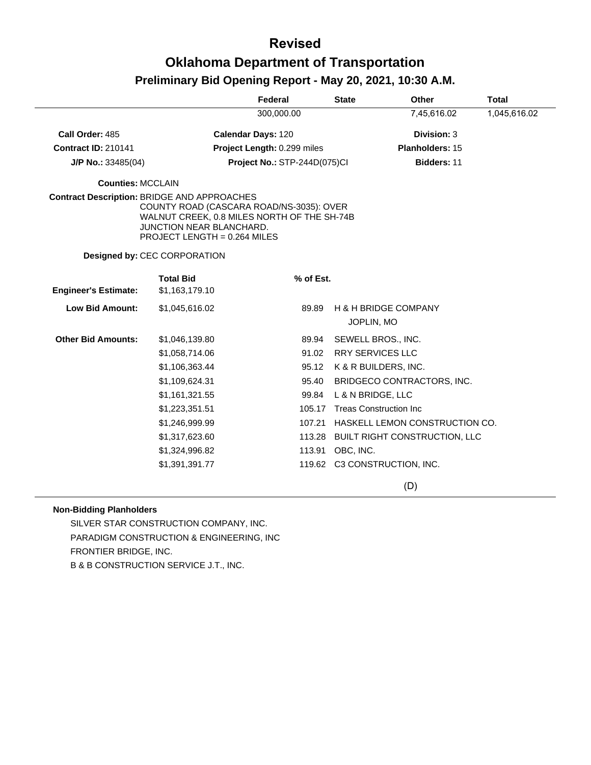|                                                    |                                                                                                                                                            | Federal                      | <b>State</b> | <b>Other</b>                                                          | <b>Total</b> |
|----------------------------------------------------|------------------------------------------------------------------------------------------------------------------------------------------------------------|------------------------------|--------------|-----------------------------------------------------------------------|--------------|
|                                                    |                                                                                                                                                            | 300,000.00                   |              | 7,45,616.02                                                           | 1,045,616.02 |
| Call Order: 485                                    |                                                                                                                                                            | <b>Calendar Days: 120</b>    |              | Division: 3                                                           |              |
| <b>Contract ID: 210141</b>                         |                                                                                                                                                            | Project Length: 0.299 miles  |              | Planholders: 15                                                       |              |
| $J/P$ No.: 33485(04)                               |                                                                                                                                                            | Project No.: STP-244D(075)CI |              | Bidders: 11                                                           |              |
| <b>Counties: MCCLAIN</b>                           |                                                                                                                                                            |                              |              |                                                                       |              |
| <b>Contract Description: BRIDGE AND APPROACHES</b> | COUNTY ROAD (CASCARA ROAD/NS-3035): OVER<br>WALNUT CREEK, 0.8 MILES NORTH OF THE SH-74B<br><b>JUNCTION NEAR BLANCHARD.</b><br>PROJECT LENGTH = 0.264 MILES |                              |              |                                                                       |              |
|                                                    | <b>Designed by: CEC CORPORATION</b>                                                                                                                        |                              |              |                                                                       |              |
| <b>Engineer's Estimate:</b>                        | <b>Total Bid</b><br>\$1,163,179.10                                                                                                                         | % of Est.                    |              |                                                                       |              |
| <b>Low Bid Amount:</b>                             | \$1,045,616.02                                                                                                                                             | 89.89                        |              | <b>H &amp; H BRIDGE COMPANY</b><br>JOPLIN, MO                         |              |
| <b>Other Bid Amounts:</b>                          | \$1,046,139.80<br>\$1,058,714.06<br>\$1,106,363.44                                                                                                         | 89.94<br>91.02<br>95.12      |              | SEWELL BROS., INC.<br><b>RRY SERVICES LLC</b><br>K & R BUILDERS, INC. |              |
|                                                    | \$1,109,624.31<br>\$1,161,321.55                                                                                                                           | 95.40<br>99.84               |              | BRIDGECO CONTRACTORS, INC.<br>L & N BRIDGE, LLC                       |              |
|                                                    | \$1,223,351.51                                                                                                                                             |                              |              | 105.17 Treas Construction Inc                                         |              |
|                                                    | \$1,246,999.99                                                                                                                                             |                              |              | 107.21 HASKELL LEMON CONSTRUCTION CO.                                 |              |
|                                                    | \$1,317,623.60                                                                                                                                             | 113.28                       |              | BUILT RIGHT CONSTRUCTION, LLC                                         |              |
|                                                    | \$1,324,996.82                                                                                                                                             | 113.91                       | OBC, INC.    |                                                                       |              |
|                                                    | \$1,391,391.77                                                                                                                                             |                              |              | 119.62 C3 CONSTRUCTION, INC.                                          |              |
|                                                    |                                                                                                                                                            |                              |              | (D)                                                                   |              |

#### **Non-Bidding Planholders**

SILVER STAR CONSTRUCTION COMPANY, INC. PARADIGM CONSTRUCTION & ENGINEERING, INC FRONTIER BRIDGE, INC.

B & B CONSTRUCTION SERVICE J.T., INC.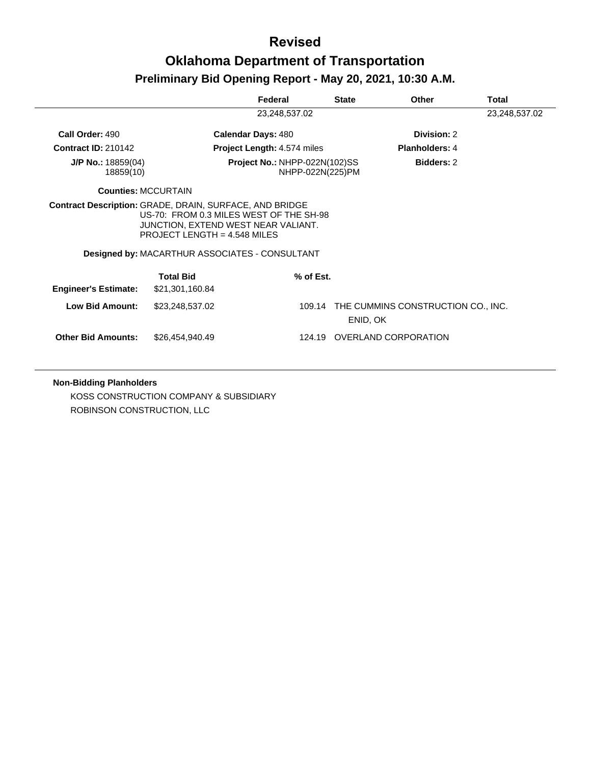|                                                         |                                                                                                                                                                           | Federal                                           | <b>State</b> | Other                                     | <b>Total</b>  |
|---------------------------------------------------------|---------------------------------------------------------------------------------------------------------------------------------------------------------------------------|---------------------------------------------------|--------------|-------------------------------------------|---------------|
|                                                         |                                                                                                                                                                           | 23,248,537.02                                     |              |                                           | 23,248,537.02 |
| Call Order: 490                                         |                                                                                                                                                                           | <b>Calendar Days: 480</b>                         |              | Division: 2                               |               |
| <b>Contract ID: 210142</b>                              |                                                                                                                                                                           | <b>Project Length: 4.574 miles</b>                |              | <b>Planholders: 4</b>                     |               |
| $J/P$ No.: 18859(04)<br>18859(10)                       |                                                                                                                                                                           | Project No.: NHPP-022N(102)SS<br>NHPP-022N(225)PM |              | Bidders: 2                                |               |
|                                                         | <b>Counties: MCCURTAIN</b>                                                                                                                                                |                                                   |              |                                           |               |
| Contract Description: GRADE, DRAIN, SURFACE, AND BRIDGE | US-70: FROM 0.3 MILES WEST OF THE SH-98<br>JUNCTION, EXTEND WEST NEAR VALIANT.<br>PROJECT LENGTH = $4.548$ MILES<br><b>Designed by: MACARTHUR ASSOCIATES - CONSULTANT</b> |                                                   |              |                                           |               |
| <b>Engineer's Estimate:</b>                             | <b>Total Bid</b><br>\$21,301,160.84                                                                                                                                       | $%$ of Est.                                       |              |                                           |               |
| Low Bid Amount:                                         | \$23,248,537.02                                                                                                                                                           |                                                   | ENID, OK     | 109.14 THE CUMMINS CONSTRUCTION CO., INC. |               |
| <b>Other Bid Amounts:</b>                               | \$26,454,940.49                                                                                                                                                           | 124.19                                            |              | OVERLAND CORPORATION                      |               |

#### **Non-Bidding Planholders**

KOSS CONSTRUCTION COMPANY & SUBSIDIARY ROBINSON CONSTRUCTION, LLC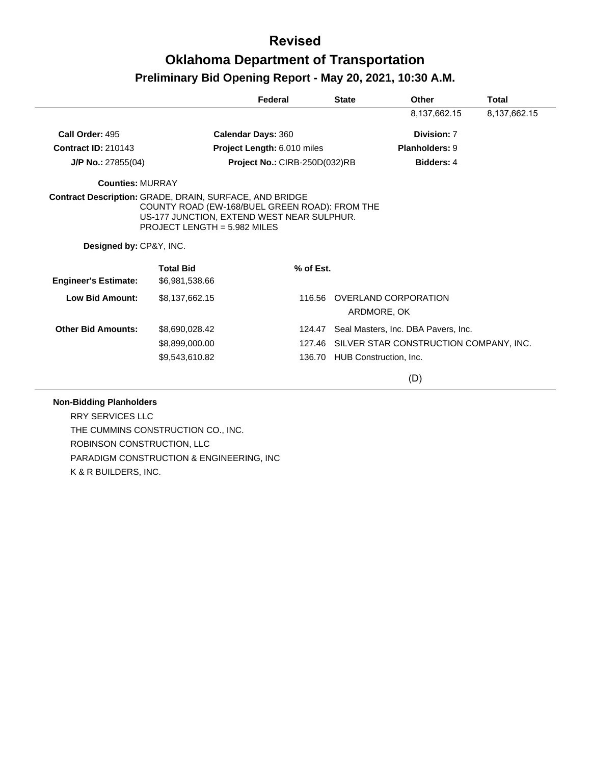|                             |                                                                                                                                                                                                  | Federal                       | <b>State</b> | Other                                  | Total        |
|-----------------------------|--------------------------------------------------------------------------------------------------------------------------------------------------------------------------------------------------|-------------------------------|--------------|----------------------------------------|--------------|
|                             |                                                                                                                                                                                                  |                               |              | 8,137,662.15                           | 8,137,662.15 |
| Call Order: 495             |                                                                                                                                                                                                  | <b>Calendar Days: 360</b>     |              | Division: 7                            |              |
| <b>Contract ID: 210143</b>  |                                                                                                                                                                                                  | Project Length: 6.010 miles   |              | Planholders: 9                         |              |
| J/P No.: 27855(04)          |                                                                                                                                                                                                  | Project No.: CIRB-250D(032)RB |              | Bidders: 4                             |              |
| <b>Counties: MURRAY</b>     |                                                                                                                                                                                                  |                               |              |                                        |              |
|                             | <b>Contract Description: GRADE, DRAIN, SURFACE, AND BRIDGE</b><br>COUNTY ROAD (EW-168/BUEL GREEN ROAD): FROM THE<br>US-177 JUNCTION, EXTEND WEST NEAR SULPHUR.<br>PROJECT LENGTH = $5.982$ MILES |                               |              |                                        |              |
| Designed by: CP&Y, INC.     |                                                                                                                                                                                                  |                               |              |                                        |              |
| <b>Engineer's Estimate:</b> | <b>Total Bid</b><br>\$6,981,538.66                                                                                                                                                               | % of Est.                     |              |                                        |              |
| <b>Low Bid Amount:</b>      | \$8,137,662.15                                                                                                                                                                                   | 116.56                        |              | OVERLAND CORPORATION<br>ARDMORE, OK    |              |
| <b>Other Bid Amounts:</b>   | \$8,690,028.42                                                                                                                                                                                   | 124.47                        |              | Seal Masters, Inc. DBA Pavers, Inc.    |              |
|                             | \$8,899,000.00                                                                                                                                                                                   | 127.46                        |              | SILVER STAR CONSTRUCTION COMPANY, INC. |              |
|                             | \$9,543,610.82                                                                                                                                                                                   | 136.70                        |              | HUB Construction, Inc.                 |              |
|                             |                                                                                                                                                                                                  |                               |              | (D)                                    |              |

#### **Non-Bidding Planholders**

RRY SERVICES LLC THE CUMMINS CONSTRUCTION CO., INC. ROBINSON CONSTRUCTION, LLC PARADIGM CONSTRUCTION & ENGINEERING, INC K & R BUILDERS, INC.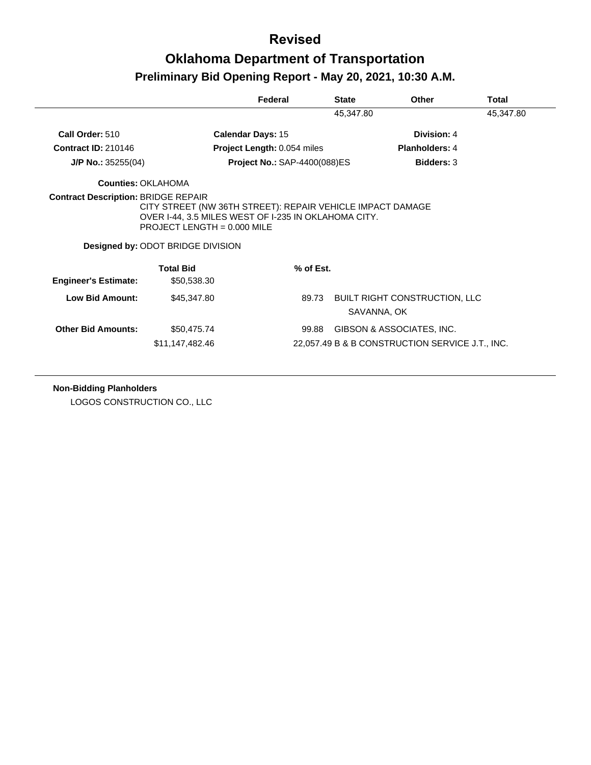|                             |                                                                                                                                                                                                 | Federal                             | <b>State</b> | Other                                               | <b>Total</b> |
|-----------------------------|-------------------------------------------------------------------------------------------------------------------------------------------------------------------------------------------------|-------------------------------------|--------------|-----------------------------------------------------|--------------|
|                             |                                                                                                                                                                                                 |                                     | 45,347.80    |                                                     | 45,347.80    |
| Call Order: 510             |                                                                                                                                                                                                 | <b>Calendar Days: 15</b>            |              | Division: 4                                         |              |
| <b>Contract ID: 210146</b>  |                                                                                                                                                                                                 | <b>Project Length: 0.054 miles</b>  |              | <b>Planholders: 4</b>                               |              |
| $J/P$ No.: 35255(04)        |                                                                                                                                                                                                 | <b>Project No.: SAP-4400(088)ES</b> |              | <b>Bidders: 3</b>                                   |              |
| Counties: OKI AHOMA         |                                                                                                                                                                                                 |                                     |              |                                                     |              |
|                             | CITY STREET (NW 36TH STREET): REPAIR VEHICLE IMPACT DAMAGE<br>OVER I-44, 3.5 MILES WEST OF I-235 IN OKLAHOMA CITY.<br>PROJECT LENGTH = $0.000$ MILE<br><b>Designed by: ODOT BRIDGE DIVISION</b> |                                     |              |                                                     |              |
| <b>Engineer's Estimate:</b> | <b>Total Bid</b><br>\$50,538.30                                                                                                                                                                 | $%$ of Est.                         |              |                                                     |              |
| Low Bid Amount:             | \$45,347.80                                                                                                                                                                                     | 89.73                               |              | <b>BUILT RIGHT CONSTRUCTION, LLC</b><br>SAVANNA, OK |              |
| <b>Other Bid Amounts:</b>   | \$50,475.74                                                                                                                                                                                     | 99.88                               |              | GIBSON & ASSOCIATES, INC.                           |              |
|                             | \$11,147,482.46                                                                                                                                                                                 |                                     |              | 22,057.49 B & B CONSTRUCTION SERVICE J.T., INC.     |              |

**Non-Bidding Planholders**

LOGOS CONSTRUCTION CO., LLC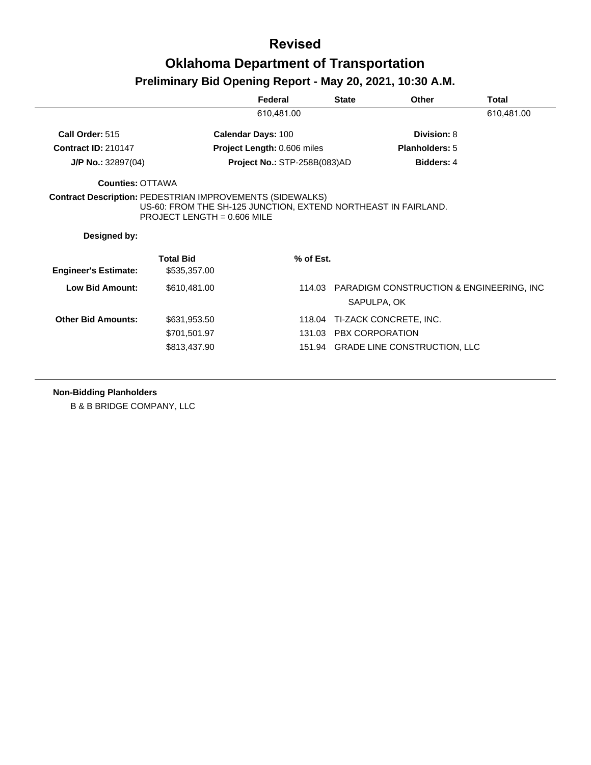|                                                                                  |                                                                                                 | Federal                      | <b>State</b>           | Other                                                          | Total      |
|----------------------------------------------------------------------------------|-------------------------------------------------------------------------------------------------|------------------------------|------------------------|----------------------------------------------------------------|------------|
|                                                                                  |                                                                                                 | 610,481.00                   |                        |                                                                | 610,481.00 |
| Call Order: 515                                                                  |                                                                                                 | <b>Calendar Days: 100</b>    |                        | Division: 8                                                    |            |
| <b>Contract ID: 210147</b>                                                       |                                                                                                 | Project Length: 0.606 miles  |                        | <b>Planholders: 5</b>                                          |            |
| $J/P$ No.: 32897(04)                                                             |                                                                                                 | Project No.: STP-258B(083)AD |                        | <b>Bidders: 4</b>                                              |            |
| <b>Counties: OTTAWA</b>                                                          |                                                                                                 |                              |                        |                                                                |            |
| <b>Contract Description: PEDESTRIAN IMPROVEMENTS (SIDEWALKS)</b><br>Designed by: | US-60: FROM THE SH-125 JUNCTION, EXTEND NORTHEAST IN FAIRLAND.<br>PROJECT LENGTH = $0.606$ MILE |                              |                        |                                                                |            |
|                                                                                  |                                                                                                 |                              |                        |                                                                |            |
|                                                                                  |                                                                                                 |                              |                        |                                                                |            |
|                                                                                  | <b>Total Bid</b>                                                                                | % of Est.                    |                        |                                                                |            |
| <b>Engineer's Estimate:</b>                                                      | \$535,357.00                                                                                    |                              |                        |                                                                |            |
| <b>Low Bid Amount:</b>                                                           | \$610,481.00                                                                                    |                              |                        | 114.03 PARADIGM CONSTRUCTION & ENGINEERING, INC<br>SAPULPA, OK |            |
| <b>Other Bid Amounts:</b>                                                        | \$631,953.50                                                                                    | 118.04                       |                        | TI-ZACK CONCRETE, INC.                                         |            |
|                                                                                  | \$701,501.97                                                                                    |                              | 131.03 PBX CORPORATION |                                                                |            |

**Non-Bidding Planholders**

B & B BRIDGE COMPANY, LLC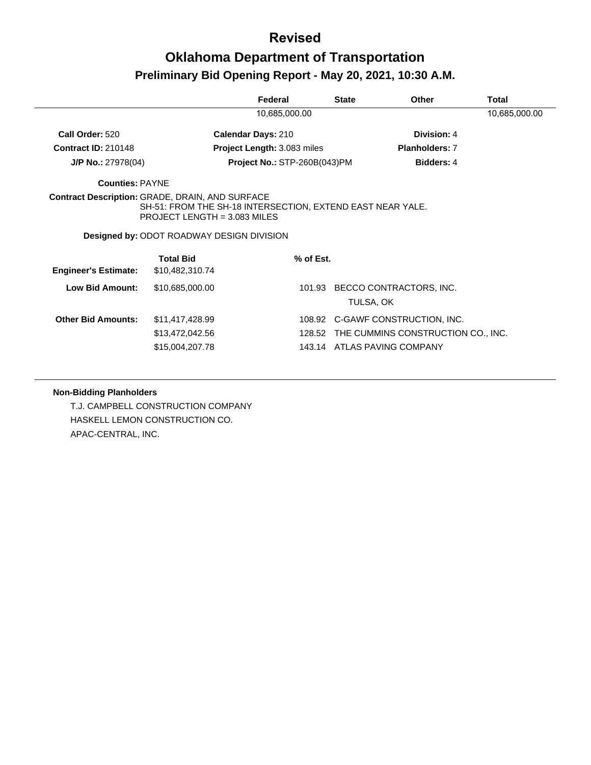# **Revised**

# **Oklahoma Department of Transportation Preliminary Bid Opening Report - May 20, 2021, 10:30 A.M.**

|                                                        |                                                                                                                                                  | Federal                      | <b>State</b> | <b>Other</b>                       | Total         |
|--------------------------------------------------------|--------------------------------------------------------------------------------------------------------------------------------------------------|------------------------------|--------------|------------------------------------|---------------|
|                                                        |                                                                                                                                                  | 10,685,000.00                |              |                                    | 10,685,000.00 |
| Call Order: 520                                        |                                                                                                                                                  | <b>Calendar Days: 210</b>    |              | Division: 4                        |               |
| <b>Contract ID: 210148</b>                             |                                                                                                                                                  | Project Length: 3.083 miles  |              | <b>Planholders: 7</b>              |               |
| $J/P$ No.: 27978(04)                                   |                                                                                                                                                  | Project No.: STP-260B(043)PM |              | Bidders: 4                         |               |
| <b>Counties: PAYNE</b>                                 |                                                                                                                                                  |                              |              |                                    |               |
| <b>Contract Description: GRADE, DRAIN, AND SURFACE</b> | SH-51: FROM THE SH-18 INTERSECTION, EXTEND EAST NEAR YALE.<br>PROJECT LENGTH = $3.083$ MILES<br><b>Designed by: ODOT ROADWAY DESIGN DIVISION</b> |                              |              |                                    |               |
| <b>Engineer's Estimate:</b>                            | <b>Total Bid</b><br>\$10,482,310.74                                                                                                              | % of Est.                    |              |                                    |               |
| <b>Low Bid Amount:</b>                                 | \$10,685,000.00                                                                                                                                  | 101.93                       | TULSA, OK    | BECCO CONTRACTORS, INC.            |               |
| <b>Other Bid Amounts:</b>                              | \$11,417,428.99                                                                                                                                  |                              |              | 108.92 C-GAWF CONSTRUCTION, INC.   |               |
|                                                        | \$13,472,042.56                                                                                                                                  | 128.52                       |              | THE CUMMINS CONSTRUCTION CO., INC. |               |
|                                                        | \$15,004,207.78                                                                                                                                  |                              |              | 143.14 ATLAS PAVING COMPANY        |               |

#### **Non-Bidding Planholders**

T.J. CAMPBELL CONSTRUCTION COMPANY HASKELL LEMON CONSTRUCTION CO. APAC-CENTRAL, INC.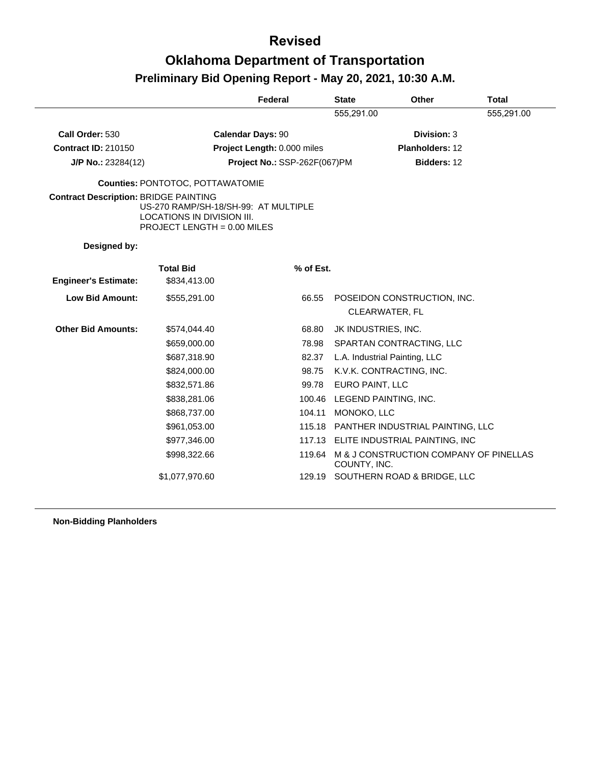|                                              |                                                                                                     | Federal                      | <b>State</b>        | <b>Other</b>                                  | <b>Total</b> |  |
|----------------------------------------------|-----------------------------------------------------------------------------------------------------|------------------------------|---------------------|-----------------------------------------------|--------------|--|
|                                              |                                                                                                     |                              | 555,291.00          |                                               | 555,291.00   |  |
| Call Order: 530                              |                                                                                                     | <b>Calendar Days: 90</b>     |                     | Division: 3                                   |              |  |
| <b>Contract ID: 210150</b>                   |                                                                                                     | Project Length: 0.000 miles  |                     | Planholders: 12                               |              |  |
| $J/P$ No.: 23284(12)                         |                                                                                                     | Project No.: SSP-262F(067)PM |                     | Bidders: 12                                   |              |  |
|                                              | <b>Counties: PONTOTOC, POTTAWATOMIE</b>                                                             |                              |                     |                                               |              |  |
| <b>Contract Description: BRIDGE PAINTING</b> | US-270 RAMP/SH-18/SH-99: AT MULTIPLE<br>LOCATIONS IN DIVISION III.<br>PROJECT LENGTH = $0.00$ MILES |                              |                     |                                               |              |  |
| Designed by:                                 |                                                                                                     |                              |                     |                                               |              |  |
|                                              | <b>Total Bid</b>                                                                                    | % of Est.                    |                     |                                               |              |  |
| <b>Engineer's Estimate:</b>                  | \$834,413.00                                                                                        |                              |                     |                                               |              |  |
| <b>Low Bid Amount:</b>                       | \$555,291.00                                                                                        | 66.55                        |                     | POSEIDON CONSTRUCTION, INC.<br>CLEARWATER, FL |              |  |
| <b>Other Bid Amounts:</b>                    | \$574,044.40                                                                                        | 68.80                        | JK INDUSTRIES, INC. |                                               |              |  |
|                                              | \$659,000.00                                                                                        | 78.98                        |                     | SPARTAN CONTRACTING, LLC                      |              |  |
|                                              | \$687,318.90                                                                                        | 82.37                        |                     | L.A. Industrial Painting, LLC                 |              |  |
|                                              | \$824,000.00                                                                                        | 98.75                        |                     | K.V.K. CONTRACTING, INC.                      |              |  |
|                                              | \$832,571.86                                                                                        | 99.78                        | EURO PAINT, LLC     |                                               |              |  |
|                                              | \$838,281.06                                                                                        |                              |                     | 100.46 LEGEND PAINTING, INC.                  |              |  |
|                                              | \$868,737.00                                                                                        | 104.11                       | MONOKO, LLC         |                                               |              |  |
|                                              | \$961,053.00                                                                                        |                              |                     | 115.18 PANTHER INDUSTRIAL PAINTING, LLC       |              |  |
|                                              | \$977,346.00                                                                                        |                              |                     | 117.13 ELITE INDUSTRIAL PAINTING, INC         |              |  |
|                                              | \$998,322.66                                                                                        |                              | COUNTY, INC.        | 119.64 M & J CONSTRUCTION COMPANY OF PINELLAS |              |  |
|                                              | \$1,077,970.60                                                                                      | 129.19                       |                     | SOUTHERN ROAD & BRIDGE, LLC                   |              |  |

**Non-Bidding Planholders**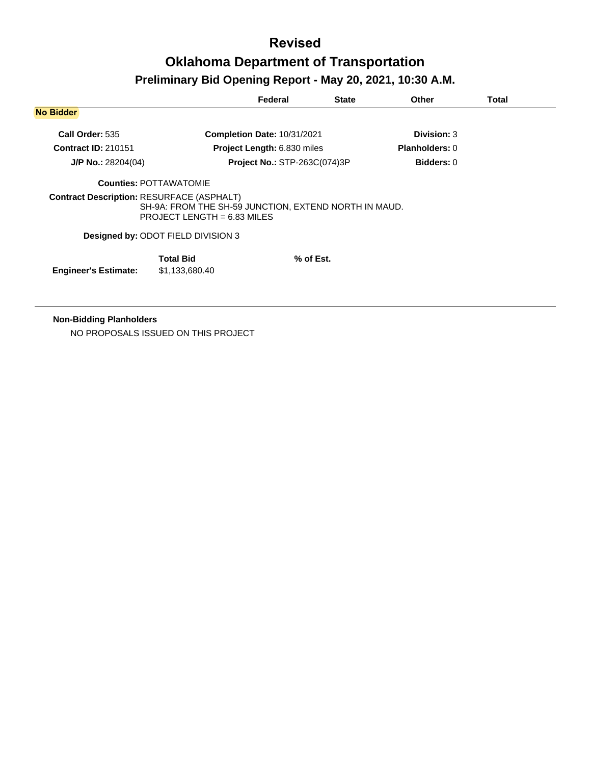# **Revised Oklahoma Department of Transportation**

|                            |                                                                                                                                            | Federal                             | <b>State</b> | <b>Other</b>          | <b>Total</b> |
|----------------------------|--------------------------------------------------------------------------------------------------------------------------------------------|-------------------------------------|--------------|-----------------------|--------------|
| <b>No Bidder</b>           |                                                                                                                                            |                                     |              |                       |              |
| Call Order: 535            |                                                                                                                                            | Completion Date: 10/31/2021         |              | Division: 3           |              |
| <b>Contract ID: 210151</b> |                                                                                                                                            | Project Length: 6.830 miles         |              | <b>Planholders: 0</b> |              |
| $J/P$ No.: 28204(04)       |                                                                                                                                            | <b>Project No.: STP-263C(074)3P</b> |              | <b>Bidders: 0</b>     |              |
|                            | <b>Counties: POTTAWATOMIE</b>                                                                                                              |                                     |              |                       |              |
|                            | <b>Contract Description: RESURFACE (ASPHALT)</b><br>SH-9A: FROM THE SH-59 JUNCTION, EXTEND NORTH IN MAUD.<br>PROJECT LENGTH = $6.83$ MILES |                                     |              |                       |              |
|                            | <b>Designed by: ODOT FIELD DIVISION 3</b>                                                                                                  |                                     |              |                       |              |
|                            |                                                                                                                                            |                                     |              |                       |              |

**Non-Bidding Planholders**

NO PROPOSALS ISSUED ON THIS PROJECT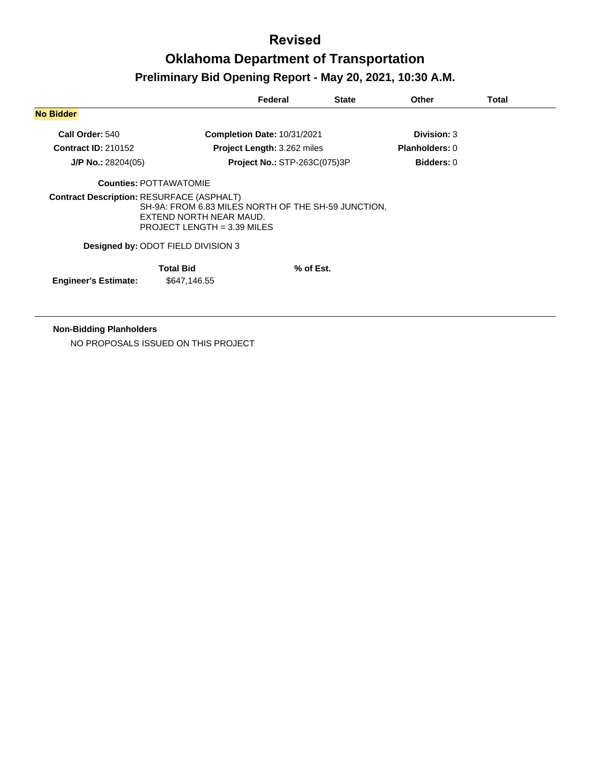|                            |                                                                                                                                                                          | Federal                            | <b>State</b> | Other                 | Total |
|----------------------------|--------------------------------------------------------------------------------------------------------------------------------------------------------------------------|------------------------------------|--------------|-----------------------|-------|
| <b>No Bidder</b>           |                                                                                                                                                                          |                                    |              |                       |       |
| Call Order: 540            |                                                                                                                                                                          | <b>Completion Date: 10/31/2021</b> |              | <b>Division: 3</b>    |       |
| <b>Contract ID: 210152</b> |                                                                                                                                                                          | <b>Project Length: 3.262 miles</b> |              | <b>Planholders: 0</b> |       |
| $J/P$ No.: 28204(05)       |                                                                                                                                                                          | Project No.: STP-263C(075)3P       |              | <b>Bidders: 0</b>     |       |
|                            | <b>Counties: POTTAWATOMIE</b>                                                                                                                                            |                                    |              |                       |       |
|                            | <b>Contract Description: RESURFACE (ASPHALT)</b><br>SH-9A: FROM 6.83 MILES NORTH OF THE SH-59 JUNCTION.<br>EXTEND NORTH NEAR MAUD.<br><b>PROJECT LENGTH = 3.39 MILES</b> |                                    |              |                       |       |
|                            | Designed by: ODOT FIELD DIVISION 3                                                                                                                                       |                                    |              |                       |       |
|                            | <b>Total Bid</b>                                                                                                                                                         |                                    | % of Est.    |                       |       |

**Non-Bidding Planholders**

NO PROPOSALS ISSUED ON THIS PROJECT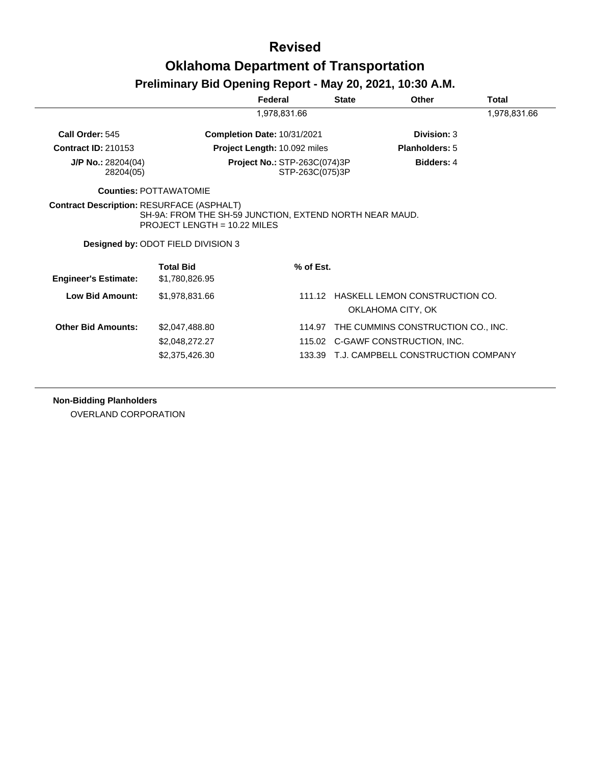#### **Revised**

#### **Oklahoma Department of Transportation**

#### **Preliminary Bid Opening Report - May 20, 2021, 10:30 A.M.**

|                                   |                                                                                                                                 | Federal                                                | <b>State</b> | <b>Other</b>                              | Total        |
|-----------------------------------|---------------------------------------------------------------------------------------------------------------------------------|--------------------------------------------------------|--------------|-------------------------------------------|--------------|
|                                   |                                                                                                                                 | 1,978,831.66                                           |              |                                           | 1,978,831.66 |
| Call Order: 545                   |                                                                                                                                 | <b>Completion Date: 10/31/2021</b>                     |              | Division: 3                               |              |
| <b>Contract ID: 210153</b>        |                                                                                                                                 | Project Length: 10.092 miles                           |              | <b>Planholders: 5</b>                     |              |
| $J/P$ No.: 28204(04)<br>28204(05) |                                                                                                                                 | <b>Project No.: STP-263C(074)3P</b><br>STP-263C(075)3P |              | <b>Bidders: 4</b>                         |              |
|                                   | <b>Counties: POTTAWATOMIE</b>                                                                                                   |                                                        |              |                                           |              |
|                                   | SH-9A: FROM THE SH-59 JUNCTION, EXTEND NORTH NEAR MAUD.<br>PROJECT LENGTH = $10.22$ MILES<br>Designed by: ODOT FIELD DIVISION 3 |                                                        |              |                                           |              |
|                                   | <b>Total Bid</b>                                                                                                                | % of Est.                                              |              |                                           |              |
| <b>Engineer's Estimate:</b>       | \$1,780,826.95                                                                                                                  |                                                        |              |                                           |              |
| <b>Low Bid Amount:</b>            | \$1,978,831.66                                                                                                                  |                                                        |              | 111.12 HASKELL LEMON CONSTRUCTION CO.     |              |
|                                   |                                                                                                                                 |                                                        |              | OKLAHOMA CITY, OK                         |              |
| <b>Other Bid Amounts:</b>         | \$2,047,488.80                                                                                                                  | 114.97                                                 |              | THE CUMMINS CONSTRUCTION CO., INC.        |              |
|                                   | \$2,048,272.27                                                                                                                  |                                                        |              | 115.02 C-GAWF CONSTRUCTION, INC.          |              |
|                                   | \$2,375,426.30                                                                                                                  |                                                        |              | 133.39 T.J. CAMPBELL CONSTRUCTION COMPANY |              |
|                                   |                                                                                                                                 |                                                        |              |                                           |              |

**Non-Bidding Planholders**

OVERLAND CORPORATION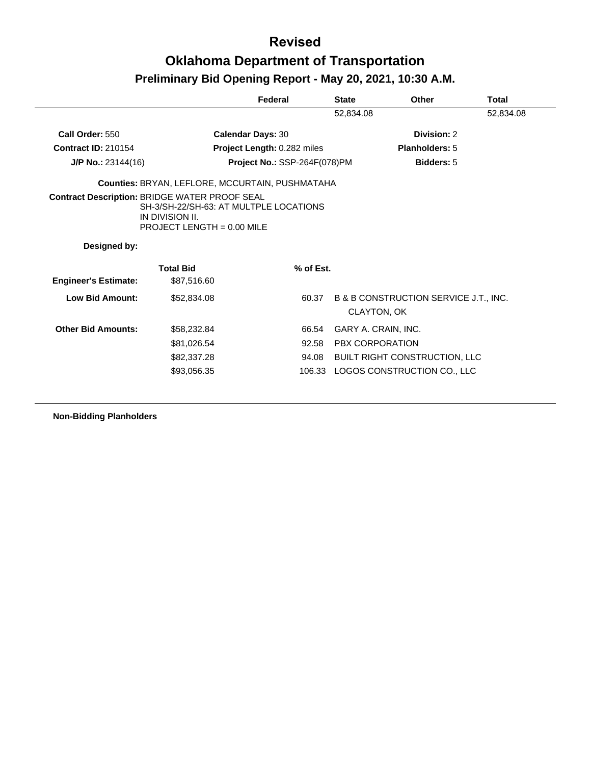|                                                      |                                                                                         | Federal                      | <b>State</b> | Other                                                           | <b>Total</b> |
|------------------------------------------------------|-----------------------------------------------------------------------------------------|------------------------------|--------------|-----------------------------------------------------------------|--------------|
|                                                      |                                                                                         |                              | 52,834.08    |                                                                 | 52,834.08    |
| Call Order: 550                                      | <b>Calendar Days: 30</b>                                                                |                              |              | Division: 2                                                     |              |
| <b>Contract ID: 210154</b>                           |                                                                                         | Project Length: 0.282 miles  |              | Planholders: 5                                                  |              |
| $J/P$ No.: 23144(16)                                 |                                                                                         | Project No.: SSP-264F(078)PM |              | Bidders: 5                                                      |              |
|                                                      | Counties: BRYAN, LEFLORE, MCCURTAIN, PUSHMATAHA                                         |                              |              |                                                                 |              |
| <b>Contract Description: BRIDGE WATER PROOF SEAL</b> | SH-3/SH-22/SH-63: AT MULTPLE LOCATIONS<br>IN DIVISION II.<br>PROJECT LENGTH = 0.00 MILE |                              |              |                                                                 |              |
| Designed by:                                         |                                                                                         |                              |              |                                                                 |              |
|                                                      | <b>Total Bid</b>                                                                        | % of Est.                    |              |                                                                 |              |
| <b>Engineer's Estimate:</b>                          | \$87,516.60                                                                             |                              |              |                                                                 |              |
| <b>Low Bid Amount:</b>                               | \$52,834.08                                                                             | 60.37                        |              | <b>B &amp; B CONSTRUCTION SERVICE J.T., INC.</b><br>CLAYTON, OK |              |
| <b>Other Bid Amounts:</b>                            | \$58,232.84                                                                             | 66.54                        |              | GARY A. CRAIN, INC.                                             |              |
|                                                      | \$81,026.54                                                                             | 92.58                        |              | <b>PBX CORPORATION</b>                                          |              |
|                                                      | \$82,337.28                                                                             | 94.08                        |              | <b>BUILT RIGHT CONSTRUCTION, LLC</b>                            |              |
|                                                      | \$93,056.35                                                                             |                              |              | 106.33 LOGOS CONSTRUCTION CO., LLC                              |              |

**Non-Bidding Planholders**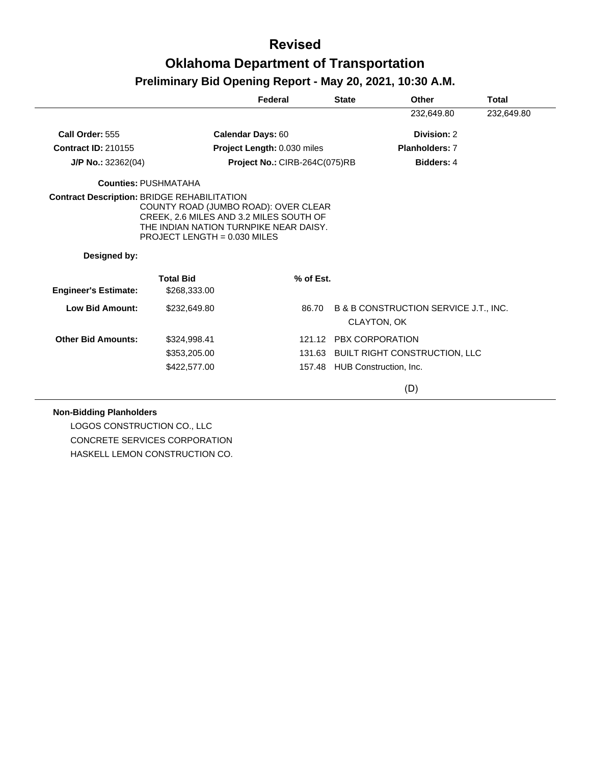|                             |                                                                                                                                                                                                                   | Federal                       | <b>State</b> | Other                                                       | <b>Total</b> |
|-----------------------------|-------------------------------------------------------------------------------------------------------------------------------------------------------------------------------------------------------------------|-------------------------------|--------------|-------------------------------------------------------------|--------------|
|                             |                                                                                                                                                                                                                   |                               |              | 232,649.80                                                  | 232,649.80   |
| Call Order: 555             | Calendar Days: 60                                                                                                                                                                                                 |                               |              | Division: 2                                                 |              |
| <b>Contract ID: 210155</b>  |                                                                                                                                                                                                                   | Project Length: 0.030 miles   |              | <b>Planholders: 7</b>                                       |              |
| $J/P$ No.: 32362(04)        |                                                                                                                                                                                                                   | Project No.: CIRB-264C(075)RB |              | <b>Bidders: 4</b>                                           |              |
|                             | <b>Counties: PUSHMATAHA</b>                                                                                                                                                                                       |                               |              |                                                             |              |
|                             | <b>Contract Description: BRIDGE REHABILITATION</b><br>COUNTY ROAD (JUMBO ROAD): OVER CLEAR<br>CREEK, 2.6 MILES AND 3.2 MILES SOUTH OF<br>THE INDIAN NATION TURNPIKE NEAR DAISY.<br>PROJECT LENGTH = $0.030$ MILES |                               |              |                                                             |              |
| Designed by:                |                                                                                                                                                                                                                   |                               |              |                                                             |              |
| <b>Engineer's Estimate:</b> | <b>Total Bid</b><br>\$268,333.00                                                                                                                                                                                  | % of Est.                     |              |                                                             |              |
| <b>Low Bid Amount:</b>      | \$232,649.80                                                                                                                                                                                                      | 86.70                         |              | B & B CONSTRUCTION SERVICE J.T., INC.<br><b>CLAYTON, OK</b> |              |
| <b>Other Bid Amounts:</b>   | \$324,998.41                                                                                                                                                                                                      |                               |              | 121.12 PBX CORPORATION                                      |              |
|                             | \$353,205.00                                                                                                                                                                                                      |                               |              | 131.63 BUILT RIGHT CONSTRUCTION, LLC                        |              |
|                             | \$422,577.00                                                                                                                                                                                                      |                               |              | 157.48 HUB Construction, Inc.                               |              |
|                             |                                                                                                                                                                                                                   |                               |              | (D)                                                         |              |

#### **Non-Bidding Planholders**

LOGOS CONSTRUCTION CO., LLC CONCRETE SERVICES CORPORATION HASKELL LEMON CONSTRUCTION CO.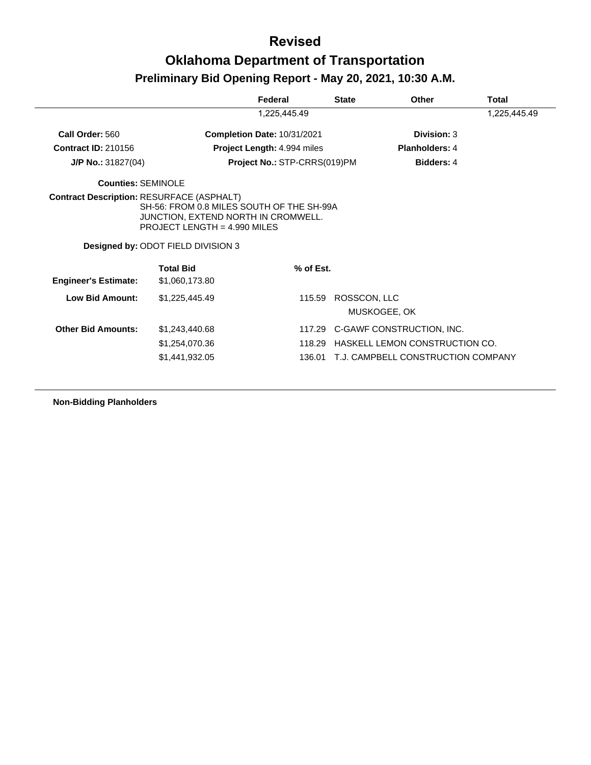|                             |                                                                                                                                                        | Federal                      | <b>State</b>           | <b>Other</b>                       | Total        |
|-----------------------------|--------------------------------------------------------------------------------------------------------------------------------------------------------|------------------------------|------------------------|------------------------------------|--------------|
|                             |                                                                                                                                                        | 1,225,445.49                 |                        |                                    | 1,225,445.49 |
| Call Order: 560             |                                                                                                                                                        | Completion Date: 10/31/2021  |                        | Division: 3                        |              |
| <b>Contract ID: 210156</b>  |                                                                                                                                                        | Project Length: 4.994 miles  |                        | <b>Planholders: 4</b>              |              |
| $J/P$ No.: 31827(04)        |                                                                                                                                                        | Project No.: STP-CRRS(019)PM |                        | <b>Bidders: 4</b>                  |              |
| Counties: SEMINOLE          |                                                                                                                                                        |                              |                        |                                    |              |
|                             | SH-56: FROM 0.8 MILES SOUTH OF THE SH-99A<br>JUNCTION, EXTEND NORTH IN CROMWELL.<br>PROJECT LENGTH = 4.990 MILES<br>Designed by: ODOT FIELD DIVISION 3 |                              |                        |                                    |              |
| <b>Engineer's Estimate:</b> | <b>Total Bid</b><br>\$1,060,173.80                                                                                                                     | % of Est.                    |                        |                                    |              |
| Low Bid Amount:             | \$1,225,445.49                                                                                                                                         |                              | ROSSCON, LLC<br>115.59 | MUSKOGEE, OK                       |              |
| <b>Other Bid Amounts:</b>   | \$1,243,440.68                                                                                                                                         |                              | 117.29                 | C-GAWF CONSTRUCTION, INC.          |              |
|                             | \$1,254,070.36                                                                                                                                         |                              | 118.29                 | HASKELL LEMON CONSTRUCTION CO.     |              |
|                             | \$1,441,932.05                                                                                                                                         |                              | 136.01                 | T.J. CAMPBELL CONSTRUCTION COMPANY |              |

**Non-Bidding Planholders**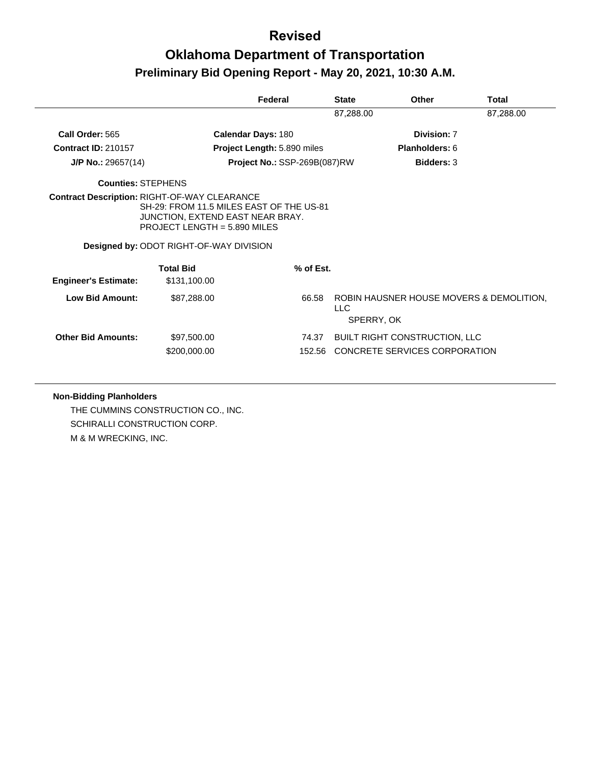#### **Revised**

### **Oklahoma Department of Transportation Preliminary Bid Opening Report - May 20, 2021, 10:30 A.M.**

|                             |                                                                                                                                                                                                                         | Federal                             | <b>State</b>       | Other                                    | Total     |
|-----------------------------|-------------------------------------------------------------------------------------------------------------------------------------------------------------------------------------------------------------------------|-------------------------------------|--------------------|------------------------------------------|-----------|
|                             |                                                                                                                                                                                                                         |                                     | 87,288.00          |                                          | 87,288.00 |
| Call Order: 565             | <b>Calendar Days: 180</b>                                                                                                                                                                                               |                                     |                    | Division: 7                              |           |
| <b>Contract ID: 210157</b>  |                                                                                                                                                                                                                         | <b>Project Length: 5.890 miles</b>  |                    | <b>Planholders: 6</b>                    |           |
| $J/P$ No.: 29657(14)        |                                                                                                                                                                                                                         | <b>Project No.: SSP-269B(087)RW</b> |                    | <b>Bidders: 3</b>                        |           |
| <b>Counties: STEPHENS</b>   |                                                                                                                                                                                                                         |                                     |                    |                                          |           |
|                             | <b>Contract Description: RIGHT-OF-WAY CLEARANCE</b><br>SH-29: FROM 11.5 MILES EAST OF THE US-81<br>JUNCTION, EXTEND EAST NEAR BRAY.<br>PROJECT LENGTH = $5.890$ MILES<br><b>Designed by: ODOT RIGHT-OF-WAY DIVISION</b> |                                     |                    |                                          |           |
|                             | <b>Total Bid</b>                                                                                                                                                                                                        | % of Est.                           |                    |                                          |           |
| <b>Engineer's Estimate:</b> | \$131,100.00                                                                                                                                                                                                            |                                     |                    |                                          |           |
| Low Bid Amount:             | \$87,288.00                                                                                                                                                                                                             | 66.58                               | LLC.<br>SPERRY, OK | ROBIN HAUSNER HOUSE MOVERS & DEMOLITION. |           |
| <b>Other Bid Amounts:</b>   | \$97,500.00                                                                                                                                                                                                             | 74.37                               |                    | <b>BUILT RIGHT CONSTRUCTION, LLC</b>     |           |
|                             | \$200,000.00                                                                                                                                                                                                            | 152.56                              |                    | CONCRETE SERVICES CORPORATION            |           |

#### **Non-Bidding Planholders**

THE CUMMINS CONSTRUCTION CO., INC. SCHIRALLI CONSTRUCTION CORP. M & M WRECKING, INC.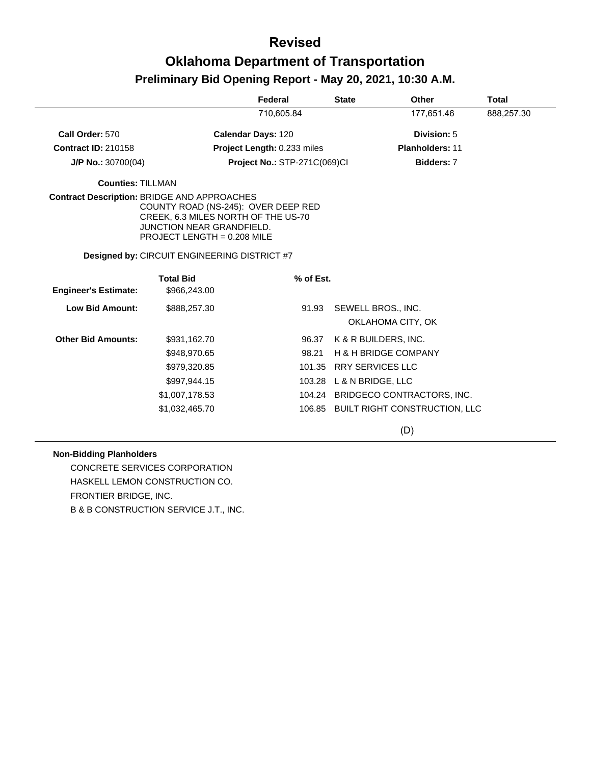|                                             |                                                                                                                                               | Federal                             | <b>State</b>             | <b>Other</b>                         | <b>Total</b> |
|---------------------------------------------|-----------------------------------------------------------------------------------------------------------------------------------------------|-------------------------------------|--------------------------|--------------------------------------|--------------|
|                                             |                                                                                                                                               | 710,605.84                          |                          | 177,651.46                           | 888,257.30   |
| Call Order: 570                             |                                                                                                                                               | <b>Calendar Days: 120</b>           |                          | Division: 5                          |              |
| <b>Contract ID: 210158</b>                  |                                                                                                                                               | <b>Project Length: 0.233 miles</b>  |                          | <b>Planholders: 11</b>               |              |
| $J/P$ No.: 30700(04)                        |                                                                                                                                               | <b>Project No.: STP-271C(069)CI</b> |                          | Bidders: 7                           |              |
| <b>Counties: TILLMAN</b>                    |                                                                                                                                               |                                     |                          |                                      |              |
| Contract Description: BRIDGE AND APPROACHES | COUNTY ROAD (NS-245): OVER DEEP RED<br>CREEK, 6.3 MILES NORTH OF THE US-70<br><b>JUNCTION NEAR GRANDFIELD.</b><br>PROJECT LENGTH = 0.208 MILE |                                     |                          |                                      |              |
|                                             | <b>Designed by: CIRCUIT ENGINEERING DISTRICT #7</b>                                                                                           |                                     |                          |                                      |              |
|                                             | <b>Total Bid</b>                                                                                                                              | % of Est.                           |                          |                                      |              |
| <b>Engineer's Estimate:</b>                 | \$966,243.00                                                                                                                                  |                                     |                          |                                      |              |
| <b>Low Bid Amount:</b>                      | \$888,257.30                                                                                                                                  | 91.93                               |                          | SEWELL BROS., INC.                   |              |
|                                             |                                                                                                                                               |                                     |                          | OKLAHOMA CITY, OK                    |              |
| <b>Other Bid Amounts:</b>                   | \$931,162.70                                                                                                                                  | 96.37                               |                          | K & R BUILDERS, INC.                 |              |
|                                             | \$948,970.65                                                                                                                                  | 98.21                               |                          | <b>H &amp; H BRIDGE COMPANY</b>      |              |
|                                             | \$979,320.85                                                                                                                                  |                                     | 101.35 RRY SERVICES LLC  |                                      |              |
|                                             | \$997,944.15                                                                                                                                  |                                     | 103.28 L & N BRIDGE, LLC |                                      |              |
|                                             | \$1,007,178.53                                                                                                                                |                                     |                          | 104.24 BRIDGECO CONTRACTORS, INC.    |              |
|                                             | \$1,032,465.70                                                                                                                                |                                     |                          | 106.85 BUILT RIGHT CONSTRUCTION, LLC |              |
|                                             |                                                                                                                                               |                                     |                          | (D)                                  |              |

#### **Non-Bidding Planholders**

CONCRETE SERVICES CORPORATION HASKELL LEMON CONSTRUCTION CO. FRONTIER BRIDGE, INC. B & B CONSTRUCTION SERVICE J.T., INC.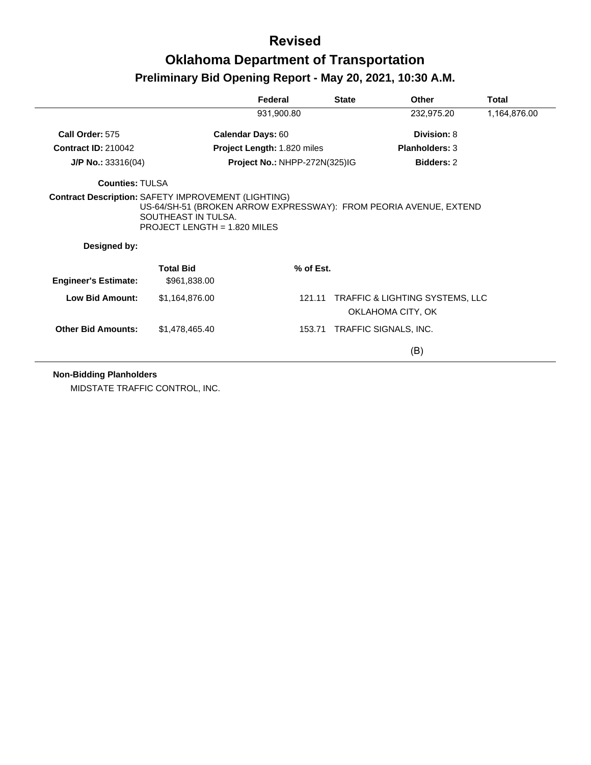|                             |                                                     | Federal                            | <b>State</b> | Other                                                             | <b>Total</b> |
|-----------------------------|-----------------------------------------------------|------------------------------------|--------------|-------------------------------------------------------------------|--------------|
|                             |                                                     | 931,900.80                         |              | 232,975.20                                                        | 1,164,876.00 |
| Call Order: 575             |                                                     | <b>Calendar Days: 60</b>           |              | Division: 8                                                       |              |
| <b>Contract ID: 210042</b>  |                                                     | <b>Project Length: 1.820 miles</b> |              | <b>Planholders: 3</b>                                             |              |
| $J/P$ No.: 33316(04)        |                                                     | Project No.: NHPP-272N(325)IG      |              | <b>Bidders: 2</b>                                                 |              |
| <b>Counties: TULSA</b>      |                                                     |                                    |              |                                                                   |              |
| Designed by:                | SOUTHEAST IN TULSA.<br>PROJECT LENGTH = 1.820 MILES |                                    |              | US-64/SH-51 (BROKEN ARROW EXPRESSWAY): FROM PEORIA AVENUE, EXTEND |              |
| <b>Engineer's Estimate:</b> | <b>Total Bid</b><br>\$961,838.00                    | $%$ of Est.                        |              |                                                                   |              |
| <b>Low Bid Amount:</b>      | \$1,164,876.00                                      | 121.11                             |              | <b>TRAFFIC &amp; LIGHTING SYSTEMS, LLC</b><br>OKLAHOMA CITY, OK   |              |
| <b>Other Bid Amounts:</b>   | \$1,478,465.40                                      |                                    |              | 153.71 TRAFFIC SIGNALS, INC.                                      |              |
|                             |                                                     |                                    |              | (B)                                                               |              |

**Non-Bidding Planholders**

MIDSTATE TRAFFIC CONTROL, INC.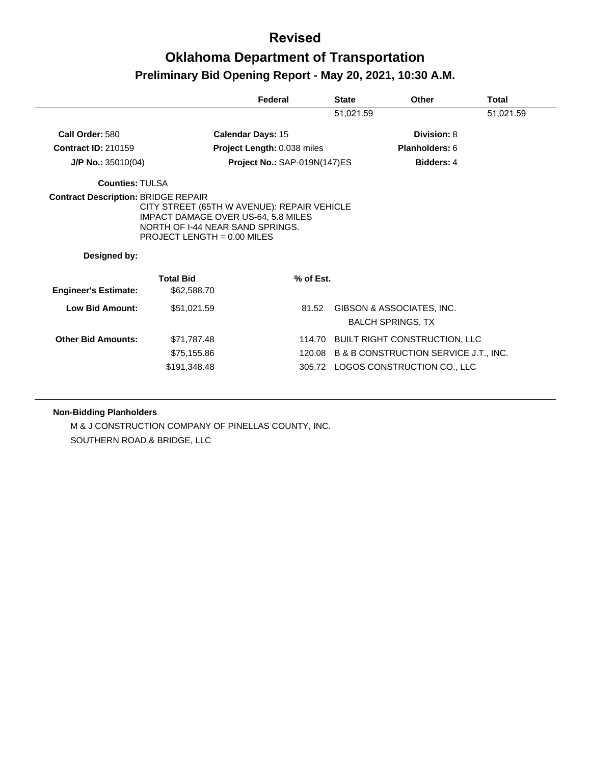|                             |                                                                                                                                                         | Federal                      | <b>State</b> | Other                                                 | <b>Total</b> |
|-----------------------------|---------------------------------------------------------------------------------------------------------------------------------------------------------|------------------------------|--------------|-------------------------------------------------------|--------------|
|                             |                                                                                                                                                         |                              | 51,021.59    |                                                       | 51,021.59    |
| Call Order: 580             | Calendar Days: 15                                                                                                                                       |                              |              | Division: 8                                           |              |
| <b>Contract ID: 210159</b>  |                                                                                                                                                         | Project Length: 0.038 miles  |              | Planholders: 6                                        |              |
| $J/P$ No.: 35010(04)        |                                                                                                                                                         | Project No.: SAP-019N(147)ES |              | <b>Bidders: 4</b>                                     |              |
| <b>Counties: TULSA</b>      |                                                                                                                                                         |                              |              |                                                       |              |
| Designed by:                | CITY STREET (65TH W AVENUE): REPAIR VEHICLE<br>IMPACT DAMAGE OVER US-64, 5.8 MILES<br>NORTH OF 1-44 NEAR SAND SPRINGS.<br>PROJECT LENGTH = $0.00$ MILES |                              |              |                                                       |              |
|                             |                                                                                                                                                         |                              |              |                                                       |              |
| <b>Engineer's Estimate:</b> | <b>Total Bid</b><br>\$62,588.70                                                                                                                         | % of Est.                    |              |                                                       |              |
| Low Bid Amount:             | \$51,021.59                                                                                                                                             | 81.52                        |              | GIBSON & ASSOCIATES, INC.<br><b>BALCH SPRINGS, TX</b> |              |
| <b>Other Bid Amounts:</b>   | \$71,787.48                                                                                                                                             |                              |              | 114.70 BUILT RIGHT CONSTRUCTION, LLC                  |              |
|                             | \$75,155.86                                                                                                                                             |                              |              | 120.08 B & B CONSTRUCTION SERVICE J.T., INC.          |              |
|                             | \$191,348.48                                                                                                                                            |                              |              | 305.72 LOGOS CONSTRUCTION CO., LLC                    |              |

#### **Non-Bidding Planholders**

M & J CONSTRUCTION COMPANY OF PINELLAS COUNTY, INC. SOUTHERN ROAD & BRIDGE, LLC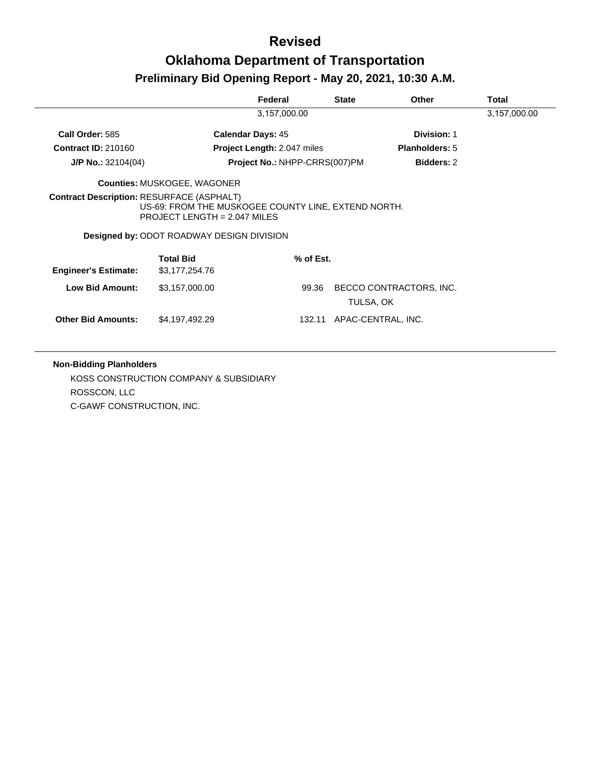|                             |                                                                                    | Federal                       | <b>State</b> | <b>Other</b>            | <b>Total</b> |
|-----------------------------|------------------------------------------------------------------------------------|-------------------------------|--------------|-------------------------|--------------|
|                             |                                                                                    | 3,157,000.00                  |              |                         | 3,157,000.00 |
| Call Order: 585             |                                                                                    | <b>Calendar Days: 45</b>      |              | <b>Division: 1</b>      |              |
| <b>Contract ID: 210160</b>  |                                                                                    | Project Length: 2.047 miles   |              | <b>Planholders: 5</b>   |              |
| $J/P$ No.: 32104(04)        |                                                                                    | Project No.: NHPP-CRRS(007)PM |              | <b>Bidders: 2</b>       |              |
|                             | <b>Counties: MUSKOGEE, WAGONER</b>                                                 |                               |              |                         |              |
|                             | US-69: FROM THE MUSKOGEE COUNTY LINE, EXTEND NORTH.                                |                               |              |                         |              |
|                             | PROJECT LENGTH = $2.047$ MILES<br><b>Designed by: ODOT ROADWAY DESIGN DIVISION</b> |                               |              |                         |              |
| <b>Engineer's Estimate:</b> | <b>Total Bid</b><br>\$3,177,254.76                                                 | $%$ of Est.                   |              |                         |              |
| <b>Low Bid Amount:</b>      | \$3,157,000.00                                                                     | 99.36                         | TULSA, OK    | BECCO CONTRACTORS, INC. |              |

#### **Non-Bidding Planholders**

KOSS CONSTRUCTION COMPANY & SUBSIDIARY ROSSCON, LLC C-GAWF CONSTRUCTION, INC.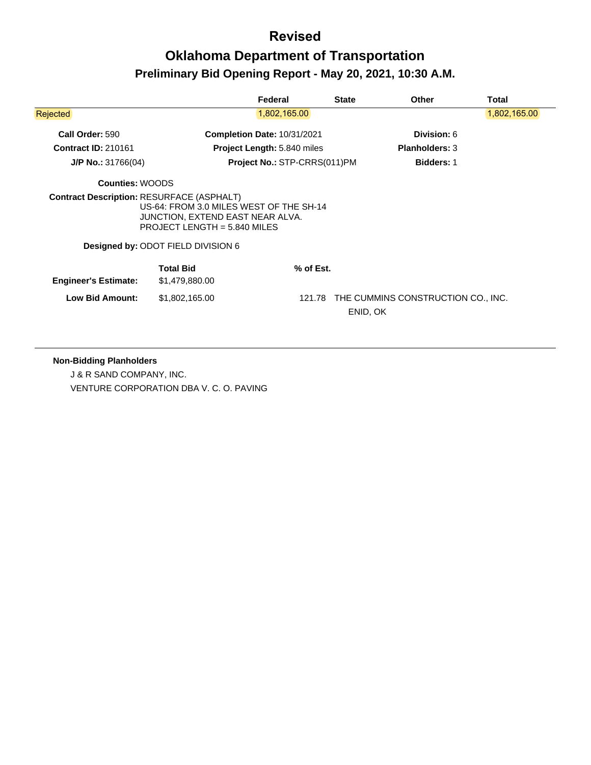|                                                  |                                                                                                                                                     | Federal                            | <b>State</b> | <b>Other</b>                       | Total        |
|--------------------------------------------------|-----------------------------------------------------------------------------------------------------------------------------------------------------|------------------------------------|--------------|------------------------------------|--------------|
| Rejected                                         |                                                                                                                                                     | 1,802,165.00                       |              |                                    | 1,802,165.00 |
| Call Order: 590                                  |                                                                                                                                                     | <b>Completion Date: 10/31/2021</b> |              | <b>Division: 6</b>                 |              |
| <b>Contract ID: 210161</b>                       |                                                                                                                                                     | <b>Project Length: 5.840 miles</b> |              | <b>Planholders: 3</b>              |              |
| $J/P$ No.: 31766(04)                             |                                                                                                                                                     | Project No.: STP-CRRS(011)PM       |              | <b>Bidders: 1</b>                  |              |
| <b>Counties: WOODS</b>                           |                                                                                                                                                     |                                    |              |                                    |              |
| <b>Contract Description: RESURFACE (ASPHALT)</b> | US-64: FROM 3.0 MILES WEST OF THE SH-14<br>JUNCTION, EXTEND EAST NEAR ALVA.<br>PROJECT LENGTH = $5.840$ MILES<br>Designed by: ODOT FIELD DIVISION 6 |                                    |              |                                    |              |
| <b>Engineer's Estimate:</b>                      | <b>Total Bid</b><br>\$1,479,880.00                                                                                                                  | % of Est.                          |              |                                    |              |
| <b>Low Bid Amount:</b>                           | \$1,802,165.00                                                                                                                                      | 121.78                             |              | THE CUMMINS CONSTRUCTION CO., INC. |              |

#### **Non-Bidding Planholders**

J & R SAND COMPANY, INC. VENTURE CORPORATION DBA V. C. O. PAVING